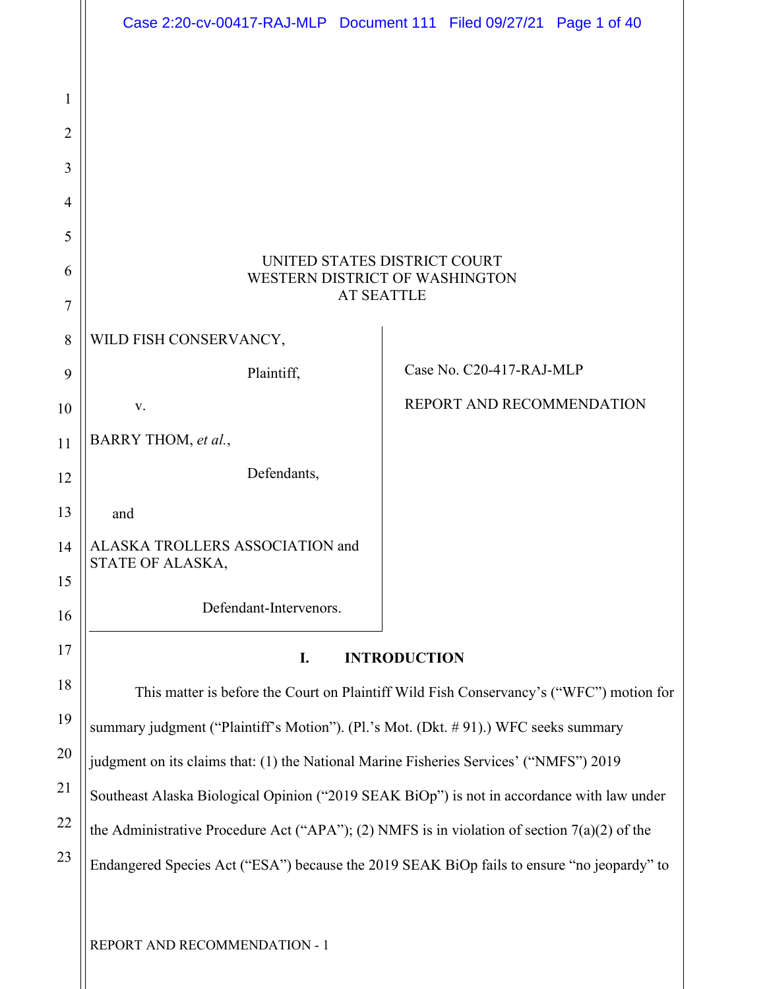|              | Case 2:20-cv-00417-RAJ-MLP Document 111 Filed 09/27/21 Page 1 of 40                            |  |                           |  |  |
|--------------|------------------------------------------------------------------------------------------------|--|---------------------------|--|--|
|              |                                                                                                |  |                           |  |  |
| $\mathbf{1}$ |                                                                                                |  |                           |  |  |
| 2            |                                                                                                |  |                           |  |  |
| 3            |                                                                                                |  |                           |  |  |
| 4            |                                                                                                |  |                           |  |  |
| 5            |                                                                                                |  |                           |  |  |
| 6            | UNITED STATES DISTRICT COURT<br>WESTERN DISTRICT OF WASHINGTON                                 |  |                           |  |  |
| 7            | <b>AT SEATTLE</b>                                                                              |  |                           |  |  |
| 8            | WILD FISH CONSERVANCY,                                                                         |  |                           |  |  |
| 9            | Plaintiff,                                                                                     |  | Case No. C20-417-RAJ-MLP  |  |  |
| 10           | V.                                                                                             |  | REPORT AND RECOMMENDATION |  |  |
| 11           | BARRY THOM, et al.,                                                                            |  |                           |  |  |
| 12           | Defendants,                                                                                    |  |                           |  |  |
| 13           | and                                                                                            |  |                           |  |  |
| 14           | ALASKA TROLLERS ASSOCIATION and<br>STATE OF ALASKA,                                            |  |                           |  |  |
| 15           |                                                                                                |  |                           |  |  |
| 16           | Defendant-Intervenors.                                                                         |  |                           |  |  |
| 17           | I.<br><b>INTRODUCTION</b>                                                                      |  |                           |  |  |
| 18           | This matter is before the Court on Plaintiff Wild Fish Conservancy's ("WFC") motion for        |  |                           |  |  |
| 19           | summary judgment ("Plaintiff's Motion"). (Pl.'s Mot. (Dkt. #91).) WFC seeks summary            |  |                           |  |  |
| 20           | judgment on its claims that: (1) the National Marine Fisheries Services' ("NMFS") 2019         |  |                           |  |  |
| 21           | Southeast Alaska Biological Opinion ("2019 SEAK BiOp") is not in accordance with law under     |  |                           |  |  |
| 22           | the Administrative Procedure Act ("APA"); (2) NMFS is in violation of section $7(a)(2)$ of the |  |                           |  |  |
| 23           | Endangered Species Act ("ESA") because the 2019 SEAK BiOp fails to ensure "no jeopardy" to     |  |                           |  |  |
|              |                                                                                                |  |                           |  |  |

REPORT AND RECOMMENDATION - 1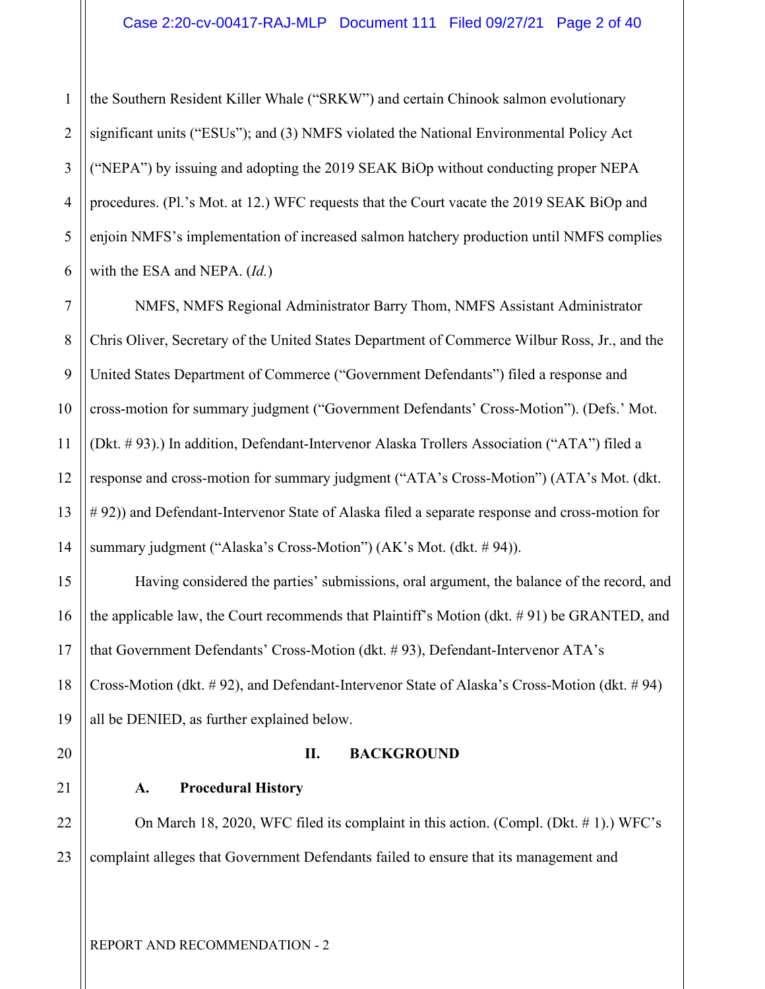1 2 3 4 5 6 the Southern Resident Killer Whale ("SRKW") and certain Chinook salmon evolutionary significant units ("ESUs"); and (3) NMFS violated the National Environmental Policy Act ("NEPA") by issuing and adopting the 2019 SEAK BiOp without conducting proper NEPA procedures. (Pl.'s Mot. at 12.) WFC requests that the Court vacate the 2019 SEAK BiOp and enjoin NMFS's implementation of increased salmon hatchery production until NMFS complies with the ESA and NEPA. (*Id.*)

7 8 9 10 11 12 13 14 NMFS, NMFS Regional Administrator Barry Thom, NMFS Assistant Administrator Chris Oliver, Secretary of the United States Department of Commerce Wilbur Ross, Jr., and the United States Department of Commerce ("Government Defendants") filed a response and cross-motion for summary judgment ("Government Defendants' Cross-Motion"). (Defs.' Mot. (Dkt. # 93).) In addition, Defendant-Intervenor Alaska Trollers Association ("ATA") filed a response and cross-motion for summary judgment ("ATA's Cross-Motion") (ATA's Mot. (dkt. # 92)) and Defendant-Intervenor State of Alaska filed a separate response and cross-motion for summary judgment ("Alaska's Cross-Motion") (AK's Mot. (dkt. # 94)).

Having considered the parties' submissions, oral argument, the balance of the record, and the applicable law, the Court recommends that Plaintiff's Motion (dkt. # 91) be GRANTED, and that Government Defendants' Cross-Motion (dkt. # 93), Defendant-Intervenor ATA's Cross-Motion (dkt. # 92), and Defendant-Intervenor State of Alaska's Cross-Motion (dkt. # 94) all be DENIED, as further explained below.

**II. BACKGROUND**

20

15

16

17

18

19

21

## 22

## **A. Procedural History**

23 On March 18, 2020, WFC filed its complaint in this action. (Compl. (Dkt. # 1).) WFC's complaint alleges that Government Defendants failed to ensure that its management and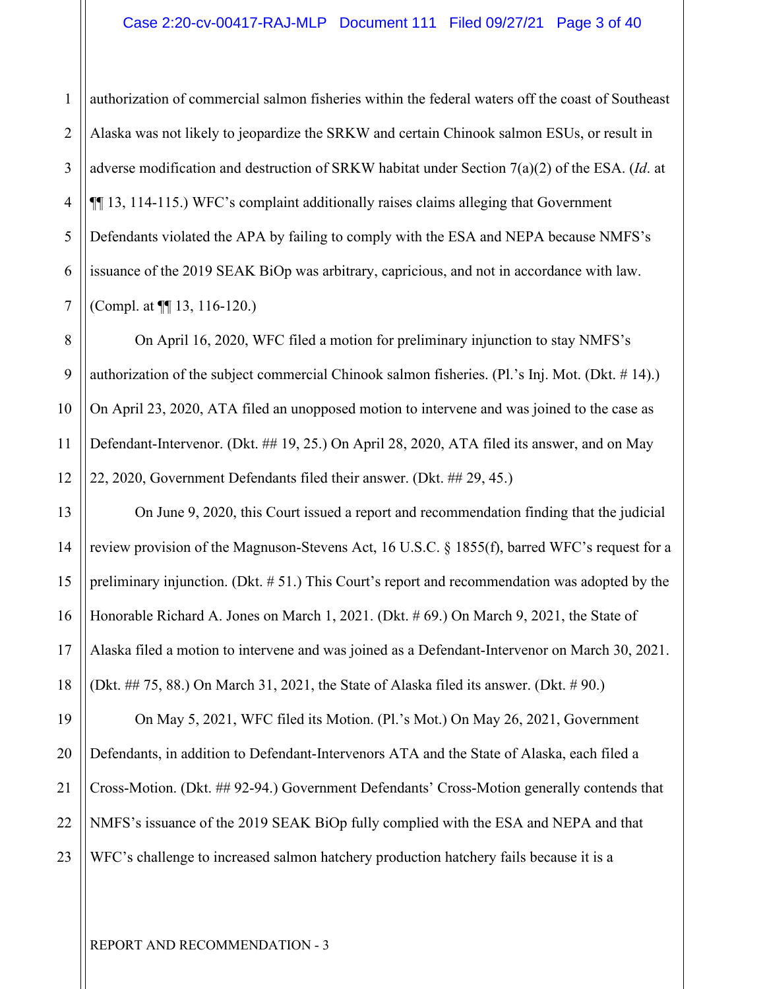1 2 3 4 5 6 7 authorization of commercial salmon fisheries within the federal waters off the coast of Southeast Alaska was not likely to jeopardize the SRKW and certain Chinook salmon ESUs, or result in adverse modification and destruction of SRKW habitat under Section 7(a)(2) of the ESA. (*Id*. at ¶¶ 13, 114-115.) WFC's complaint additionally raises claims alleging that Government Defendants violated the APA by failing to comply with the ESA and NEPA because NMFS's issuance of the 2019 SEAK BiOp was arbitrary, capricious, and not in accordance with law. (Compl. at ¶¶ 13, 116-120.)

On April 16, 2020, WFC filed a motion for preliminary injunction to stay NMFS's authorization of the subject commercial Chinook salmon fisheries. (Pl.'s Inj. Mot. (Dkt. # 14).) On April 23, 2020, ATA filed an unopposed motion to intervene and was joined to the case as Defendant-Intervenor. (Dkt. ## 19, 25.) On April 28, 2020, ATA filed its answer, and on May 22, 2020, Government Defendants filed their answer. (Dkt. ## 29, 45.)

On June 9, 2020, this Court issued a report and recommendation finding that the judicial review provision of the Magnuson-Stevens Act, 16 U.S.C. § 1855(f), barred WFC's request for a preliminary injunction. (Dkt. # 51.) This Court's report and recommendation was adopted by the Honorable Richard A. Jones on March 1, 2021. (Dkt. # 69.) On March 9, 2021, the State of Alaska filed a motion to intervene and was joined as a Defendant-Intervenor on March 30, 2021. (Dkt. ## 75, 88.) On March 31, 2021, the State of Alaska filed its answer. (Dkt. # 90.)

19 20 21 22 23 On May 5, 2021, WFC filed its Motion. (Pl.'s Mot.) On May 26, 2021, Government Defendants, in addition to Defendant-Intervenors ATA and the State of Alaska, each filed a Cross-Motion. (Dkt. ## 92-94.) Government Defendants' Cross-Motion generally contends that NMFS's issuance of the 2019 SEAK BiOp fully complied with the ESA and NEPA and that WFC's challenge to increased salmon hatchery production hatchery fails because it is a

8

9

10

11

12

13

14

15

16

17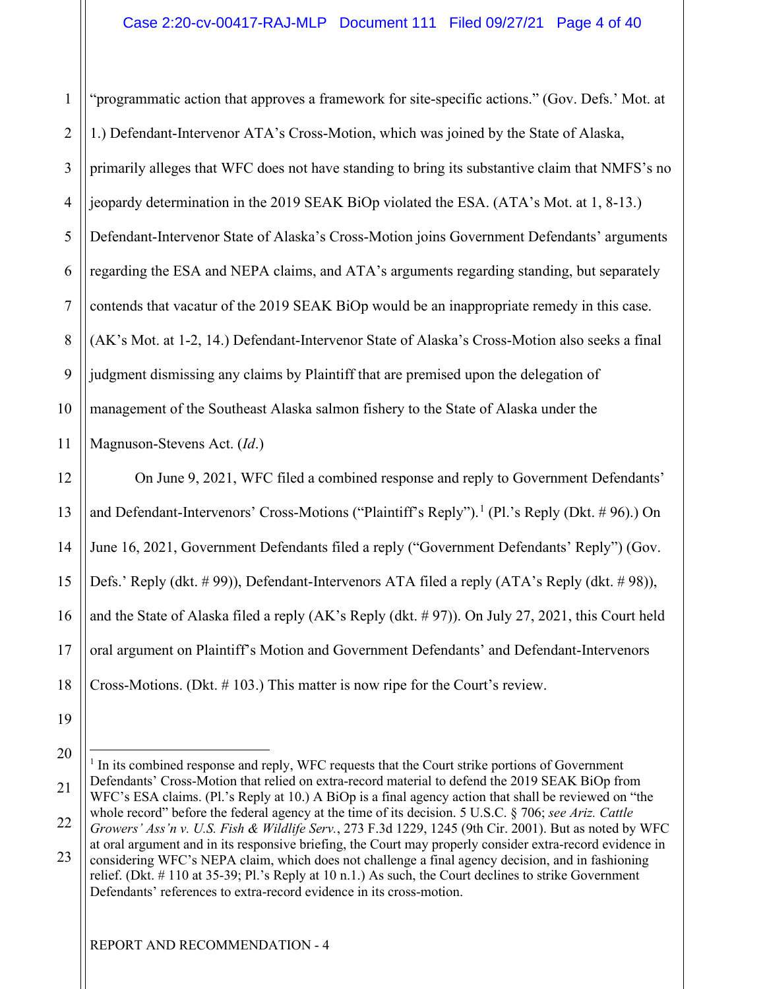1 2 3 4 5 6 7 8 9 10 11 "programmatic action that approves a framework for site-specific actions." (Gov. Defs.' Mot. at 1.) Defendant-Intervenor ATA's Cross-Motion, which was joined by the State of Alaska, primarily alleges that WFC does not have standing to bring its substantive claim that NMFS's no jeopardy determination in the 2019 SEAK BiOp violated the ESA. (ATA's Mot. at 1, 8-13.) Defendant-Intervenor State of Alaska's Cross-Motion joins Government Defendants' arguments regarding the ESA and NEPA claims, and ATA's arguments regarding standing, but separately contends that vacatur of the 2019 SEAK BiOp would be an inappropriate remedy in this case. (AK's Mot. at 1-2, 14.) Defendant-Intervenor State of Alaska's Cross-Motion also seeks a final judgment dismissing any claims by Plaintiff that are premised upon the delegation of management of the Southeast Alaska salmon fishery to the State of Alaska under the Magnuson-Stevens Act. (*Id*.)

12 13 14 15 16 17 18 On June 9, 2021, WFC filed a combined response and reply to Government Defendants' and Defendant-Intervenors' Cross-Motions ("Plaintiff's Reply").<sup>[1](#page-3-0)</sup> (Pl.'s Reply (Dkt. # 96).) On June 16, 2021, Government Defendants filed a reply ("Government Defendants' Reply") (Gov. Defs.' Reply (dkt. #99)), Defendant-Intervenors ATA filed a reply (ATA's Reply (dkt. #98)), and the State of Alaska filed a reply (AK's Reply (dkt.  $\# 97$ )). On July 27, 2021, this Court held oral argument on Plaintiff's Motion and Government Defendants' and Defendant-Intervenors Cross-Motions. (Dkt. # 103.) This matter is now ripe for the Court's review.

<sup>19</sup> 

<sup>20</sup> 

<span id="page-3-0"></span><sup>21</sup>  <sup>1</sup> In its combined response and reply, WFC requests that the Court strike portions of Government Defendants' Cross-Motion that relied on extra-record material to defend the 2019 SEAK BiOp from WFC's ESA claims. (Pl.'s Reply at 10.) A BiOp is a final agency action that shall be reviewed on "the whole record" before the federal agency at the time of its decision. 5 U.S.C. § 706; *see Ariz. Cattle* 

<sup>22</sup>  *Growers' Ass'n v. U.S. Fish & Wildlife Serv.*, 273 F.3d 1229, 1245 (9th Cir. 2001). But as noted by WFC at oral argument and in its responsive briefing, the Court may properly consider extra-record evidence in

<sup>23</sup>  considering WFC's NEPA claim, which does not challenge a final agency decision, and in fashioning relief. (Dkt. # 110 at 35-39; Pl.'s Reply at 10 n.1.) As such, the Court declines to strike Government Defendants' references to extra-record evidence in its cross-motion.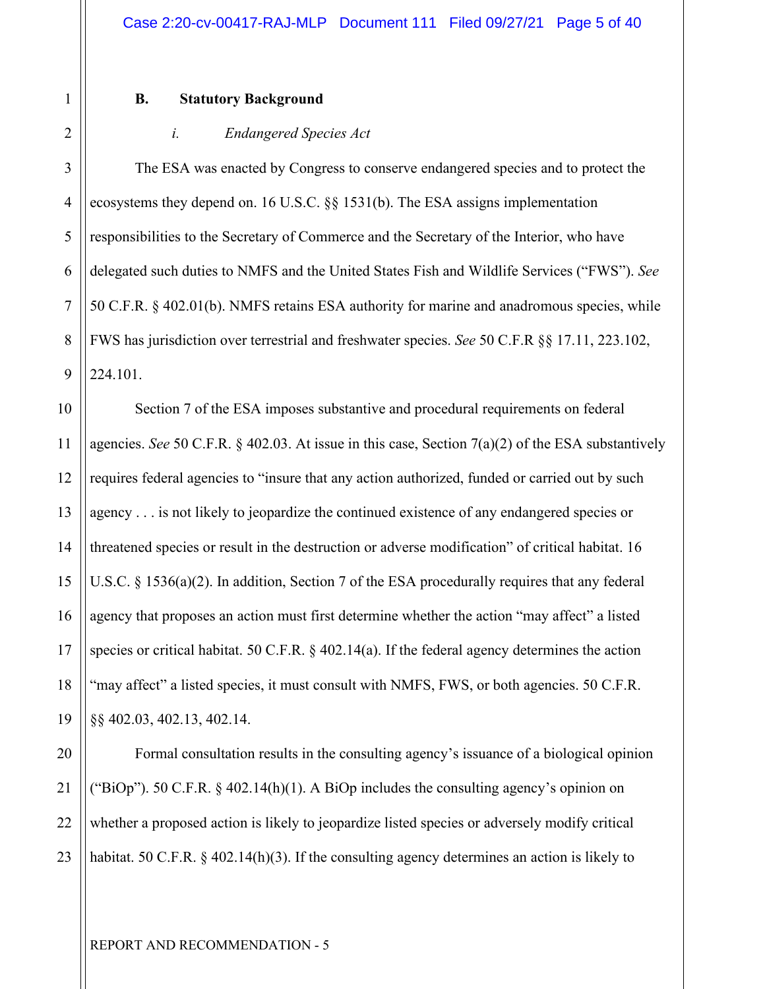#### **B. Statutory Background**

#### *i. Endangered Species Act*

The ESA was enacted by Congress to conserve endangered species and to protect the ecosystems they depend on. 16 U.S.C. §§ 1531(b). The ESA assigns implementation responsibilities to the Secretary of Commerce and the Secretary of the Interior, who have delegated such duties to NMFS and the United States Fish and Wildlife Services ("FWS"). *See* 50 C.F.R. § 402.01(b). NMFS retains ESA authority for marine and anadromous species, while FWS has jurisdiction over terrestrial and freshwater species. *See* 50 C.F.R §§ 17.11, 223.102, 224.101.

 Section 7 of the ESA imposes substantive and procedural requirements on federal agencies. *See* 50 C.F.R. § 402.03. At issue in this case, Section 7(a)(2) of the ESA substantively requires federal agencies to "insure that any action authorized, funded or carried out by such agency . . . is not likely to jeopardize the continued existence of any endangered species or threatened species or result in the destruction or adverse modification" of critical habitat. 16 U.S.C. § 1536(a)(2). In addition, Section 7 of the ESA procedurally requires that any federal agency that proposes an action must first determine whether the action "may affect" a listed species or critical habitat. 50 C.F.R. § 402.14(a). If the federal agency determines the action "may affect" a listed species, it must consult with NMFS, FWS, or both agencies. 50 C.F.R. §§ 402.03, 402.13, 402.14.

23 Formal consultation results in the consulting agency's issuance of a biological opinion ("BiOp"). 50 C.F.R.  $\S$  402.14(h)(1). A BiOp includes the consulting agency's opinion on whether a proposed action is likely to jeopardize listed species or adversely modify critical habitat. 50 C.F.R. § 402.14(h)(3). If the consulting agency determines an action is likely to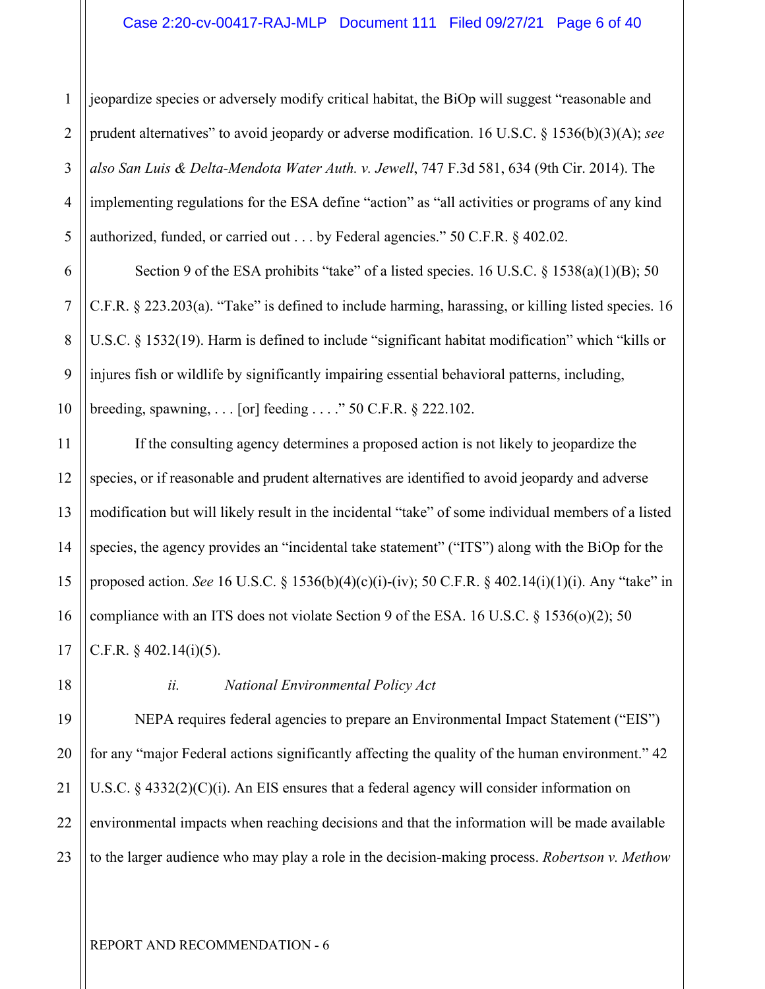1 2 3 4 5 jeopardize species or adversely modify critical habitat, the BiOp will suggest "reasonable and prudent alternatives" to avoid jeopardy or adverse modification. 16 U.S.C. § 1536(b)(3)(A); *see also San Luis & Delta-Mendota Water Auth. v. Jewell*, 747 F.3d 581, 634 (9th Cir. 2014). The implementing regulations for the ESA define "action" as "all activities or programs of any kind authorized, funded, or carried out . . . by Federal agencies." 50 C.F.R. § 402.02.

Section 9 of the ESA prohibits "take" of a listed species. 16 U.S.C. § 1538(a)(1)(B); 50 C.F.R. § 223.203(a). "Take" is defined to include harming, harassing, or killing listed species. 16 U.S.C. § 1532(19). Harm is defined to include "significant habitat modification" which "kills or injures fish or wildlife by significantly impairing essential behavioral patterns, including, breeding, spawning, . . . [or] feeding . . . ." 50 C.F.R. § 222.102.

If the consulting agency determines a proposed action is not likely to jeopardize the species, or if reasonable and prudent alternatives are identified to avoid jeopardy and adverse modification but will likely result in the incidental "take" of some individual members of a listed species, the agency provides an "incidental take statement" ("ITS") along with the BiOp for the proposed action. *See* 16 U.S.C. § 1536(b)(4)(c)(i)-(iv); 50 C.F.R. § 402.14(i)(1)(i). Any "take" in compliance with an ITS does not violate Section 9 of the ESA. 16 U.S.C. § 1536(o)(2); 50 C.F.R.  $\S$  402.14(i)(5).

18

19

20

21

22

23

6

7

8

9

10

11

12

13

14

15

16

17

#### *ii. National Environmental Policy Act*

NEPA requires federal agencies to prepare an Environmental Impact Statement ("EIS") for any "major Federal actions significantly affecting the quality of the human environment." 42 U.S.C. § 4332(2)(C)(i). An EIS ensures that a federal agency will consider information on environmental impacts when reaching decisions and that the information will be made available to the larger audience who may play a role in the decision-making process. *Robertson v. Methow*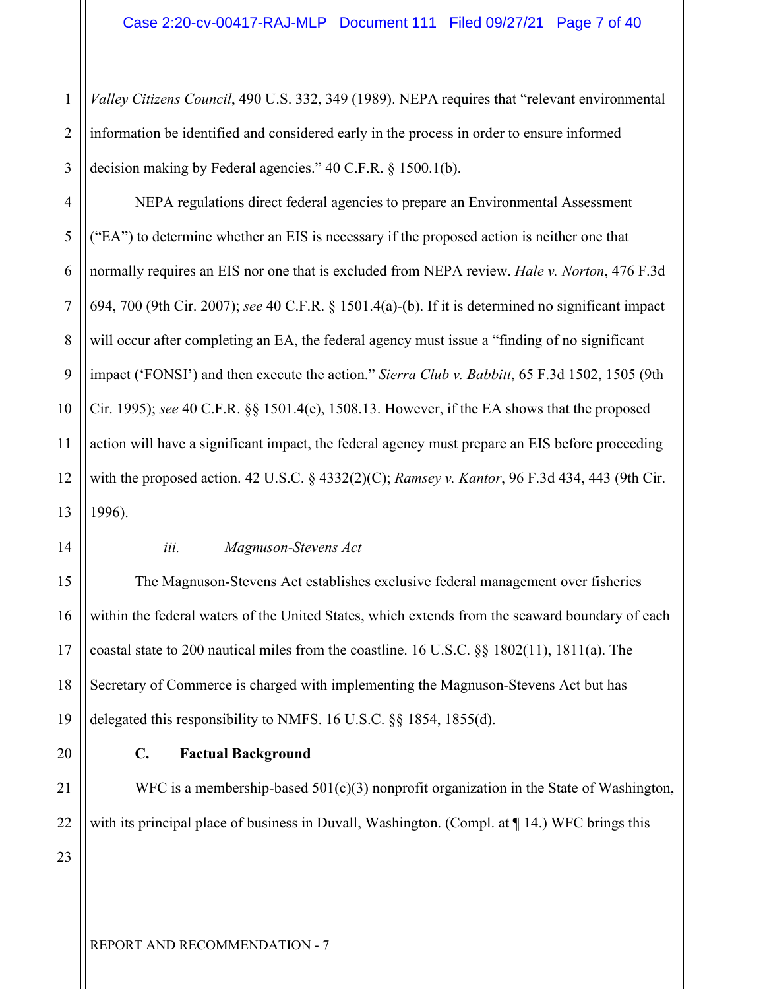1 2 3 *Valley Citizens Council*, 490 U.S. 332, 349 (1989). NEPA requires that "relevant environmental information be identified and considered early in the process in order to ensure informed decision making by Federal agencies." 40 C.F.R. § 1500.1(b).

4 5 6 7 8 9 10 11 12 13 NEPA regulations direct federal agencies to prepare an Environmental Assessment ("EA") to determine whether an EIS is necessary if the proposed action is neither one that normally requires an EIS nor one that is excluded from NEPA review. *Hale v. Norton*, 476 F.3d 694, 700 (9th Cir. 2007); *see* 40 C.F.R. § 1501.4(a)-(b). If it is determined no significant impact will occur after completing an EA, the federal agency must issue a "finding of no significant" impact ('FONSI') and then execute the action." *Sierra Club v. Babbitt*, 65 F.3d 1502, 1505 (9th Cir. 1995); *see* 40 C.F.R. §§ 1501.4(e), 1508.13. However, if the EA shows that the proposed action will have a significant impact, the federal agency must prepare an EIS before proceeding with the proposed action. 42 U.S.C. § 4332(2)(C); *Ramsey v. Kantor*, 96 F.3d 434, 443 (9th Cir. 1996).

## 14 15 16 17

18

19

20

21

22

#### *iii. Magnuson-Stevens Act*

The Magnuson-Stevens Act establishes exclusive federal management over fisheries within the federal waters of the United States, which extends from the seaward boundary of each coastal state to 200 nautical miles from the coastline. 16 U.S.C. §§ 1802(11), 1811(a). The Secretary of Commerce is charged with implementing the Magnuson-Stevens Act but has delegated this responsibility to NMFS. 16 U.S.C. §§ 1854, 1855(d).

#### **C. Factual Background**

WFC is a membership-based  $501(c)(3)$  nonprofit organization in the State of Washington, with its principal place of business in Duvall, Washington. (Compl. at  $\P$  14.) WFC brings this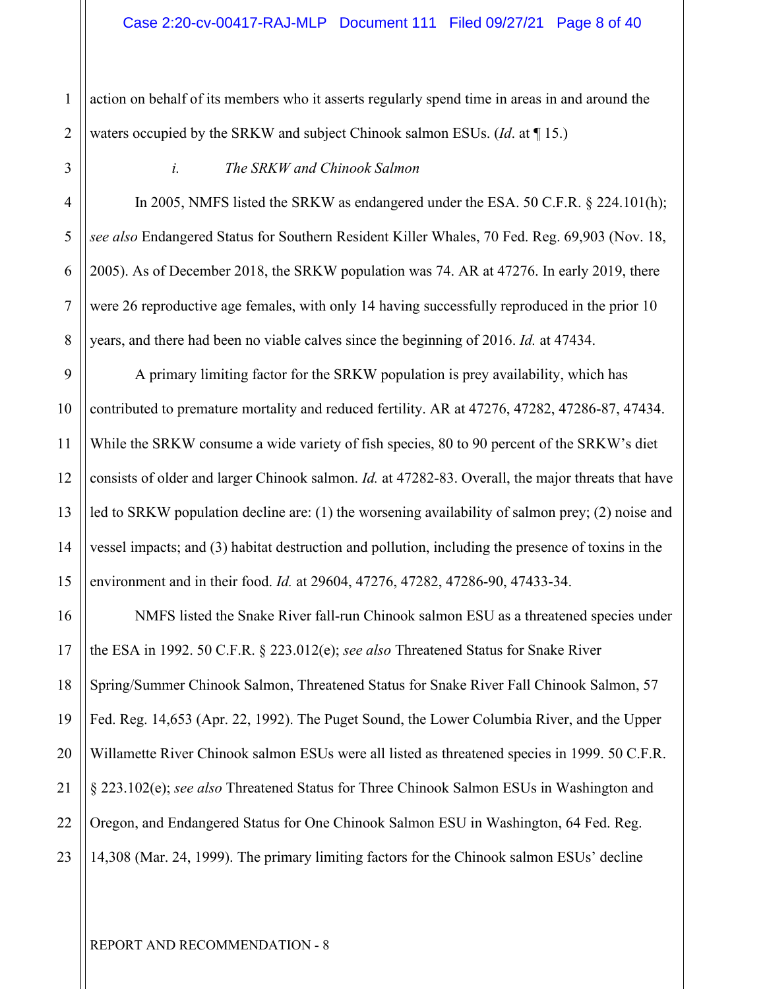1 action on behalf of its members who it asserts regularly spend time in areas in and around the waters occupied by the SRKW and subject Chinook salmon ESUs. (*Id*. at ¶ 15.)

#### *i. The SRKW and Chinook Salmon*

In 2005, NMFS listed the SRKW as endangered under the ESA. 50 C.F.R. § 224.101(h); *see also* Endangered Status for Southern Resident Killer Whales, 70 Fed. Reg. 69,903 (Nov. 18, 2005). As of December 2018, the SRKW population was 74. AR at 47276. In early 2019, there were 26 reproductive age females, with only 14 having successfully reproduced in the prior 10 years, and there had been no viable calves since the beginning of 2016. *Id.* at 47434.

A primary limiting factor for the SRKW population is prey availability, which has contributed to premature mortality and reduced fertility. AR at 47276, 47282, 47286-87, 47434. While the SRKW consume a wide variety of fish species, 80 to 90 percent of the SRKW's diet consists of older and larger Chinook salmon. *Id.* at 47282-83. Overall, the major threats that have led to SRKW population decline are: (1) the worsening availability of salmon prey; (2) noise and vessel impacts; and (3) habitat destruction and pollution, including the presence of toxins in the environment and in their food. *Id.* at 29604, 47276, 47282, 47286-90, 47433-34.

NMFS listed the Snake River fall-run Chinook salmon ESU as a threatened species under the ESA in 1992. 50 C.F.R. § 223.012(e); *see also* Threatened Status for Snake River Spring/Summer Chinook Salmon, Threatened Status for Snake River Fall Chinook Salmon, 57 Fed. Reg. 14,653 (Apr. 22, 1992). The Puget Sound, the Lower Columbia River, and the Upper Willamette River Chinook salmon ESUs were all listed as threatened species in 1999. 50 C.F.R. § 223.102(e); *see also* Threatened Status for Three Chinook Salmon ESUs in Washington and Oregon, and Endangered Status for One Chinook Salmon ESU in Washington, 64 Fed. Reg. 14,308 (Mar. 24, 1999). The primary limiting factors for the Chinook salmon ESUs' decline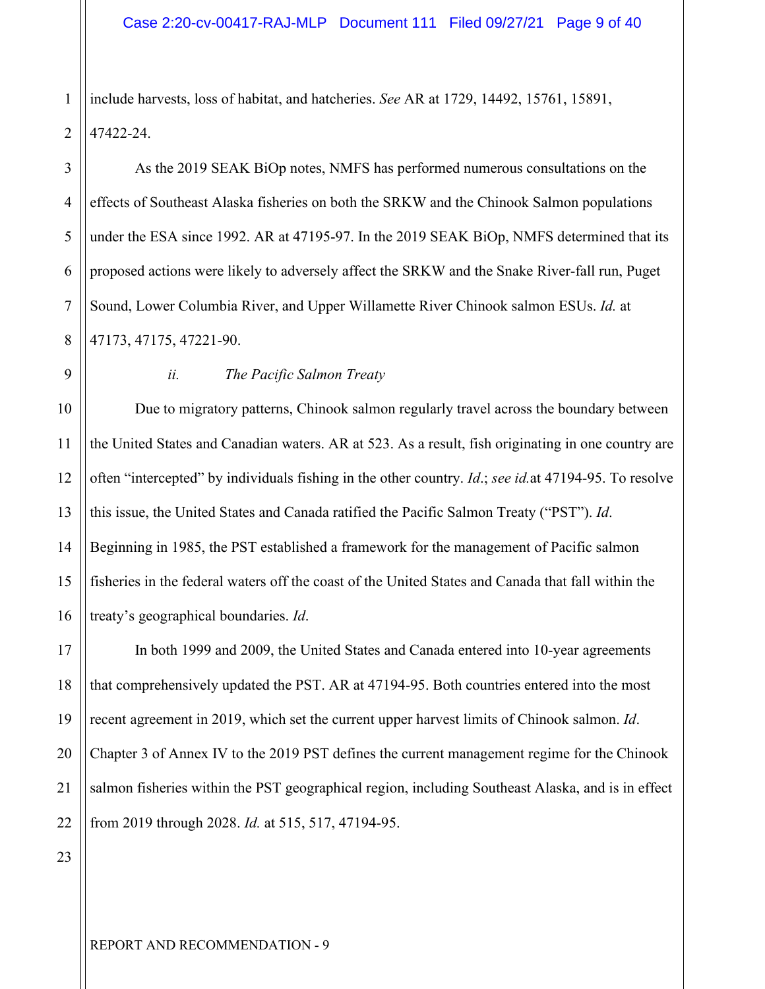1 2 include harvests, loss of habitat, and hatcheries. *See* AR at 1729, 14492, 15761, 15891, 47422-24.

As the 2019 SEAK BiOp notes, NMFS has performed numerous consultations on the effects of Southeast Alaska fisheries on both the SRKW and the Chinook Salmon populations under the ESA since 1992. AR at 47195-97. In the 2019 SEAK BiOp, NMFS determined that its proposed actions were likely to adversely affect the SRKW and the Snake River-fall run, Puget Sound, Lower Columbia River, and Upper Willamette River Chinook salmon ESUs. *Id.* at 47173, 47175, 47221-90.

13

14

15

16

17

18

19

20

21

22

3

4

5

6

7

8

#### *ii. The Pacific Salmon Treaty*

Due to migratory patterns, Chinook salmon regularly travel across the boundary between the United States and Canadian waters. AR at 523. As a result, fish originating in one country are often "intercepted" by individuals fishing in the other country. *Id*.; *see id.*at 47194-95. To resolve this issue, the United States and Canada ratified the Pacific Salmon Treaty ("PST"). *Id*. Beginning in 1985, the PST established a framework for the management of Pacific salmon fisheries in the federal waters off the coast of the United States and Canada that fall within the treaty's geographical boundaries. *Id*.

In both 1999 and 2009, the United States and Canada entered into 10-year agreements that comprehensively updated the PST. AR at 47194-95. Both countries entered into the most recent agreement in 2019, which set the current upper harvest limits of Chinook salmon. *Id*. Chapter 3 of Annex IV to the 2019 PST defines the current management regime for the Chinook salmon fisheries within the PST geographical region, including Southeast Alaska, and is in effect from 2019 through 2028. *Id.* at 515, 517, 47194-95.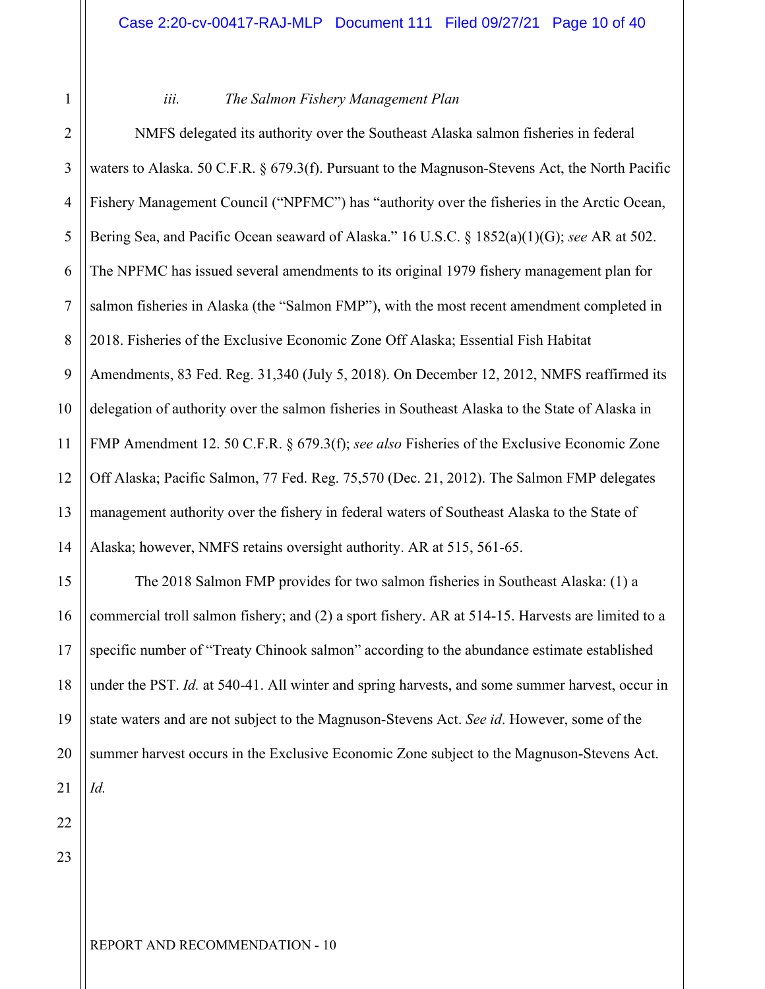| 2 |  |
|---|--|
| そ |  |

#### *iii. The Salmon Fishery Management Plan*

2 4 5 6 7 8 9 10 11 12 13 14 NMFS delegated its authority over the Southeast Alaska salmon fisheries in federal waters to Alaska. 50 C.F.R. § 679.3(f). Pursuant to the Magnuson-Stevens Act, the North Pacific Fishery Management Council ("NPFMC") has "authority over the fisheries in the Arctic Ocean, Bering Sea, and Pacific Ocean seaward of Alaska." 16 U.S.C. § 1852(a)(1)(G); *see* AR at 502. The NPFMC has issued several amendments to its original 1979 fishery management plan for salmon fisheries in Alaska (the "Salmon FMP"), with the most recent amendment completed in 2018. Fisheries of the Exclusive Economic Zone Off Alaska; Essential Fish Habitat Amendments, 83 Fed. Reg. 31,340 (July 5, 2018). On December 12, 2012, NMFS reaffirmed its delegation of authority over the salmon fisheries in Southeast Alaska to the State of Alaska in FMP Amendment 12. 50 C.F.R. § 679.3(f); *see also* Fisheries of the Exclusive Economic Zone Off Alaska; Pacific Salmon, 77 Fed. Reg. 75,570 (Dec. 21, 2012). The Salmon FMP delegates management authority over the fishery in federal waters of Southeast Alaska to the State of Alaska; however, NMFS retains oversight authority. AR at 515, 561-65.

15 16 17 18 19 20 21 The 2018 Salmon FMP provides for two salmon fisheries in Southeast Alaska: (1) a commercial troll salmon fishery; and (2) a sport fishery. AR at 514-15. Harvests are limited to a specific number of "Treaty Chinook salmon" according to the abundance estimate established under the PST. *Id.* at 540-41. All winter and spring harvests, and some summer harvest, occur in state waters and are not subject to the Magnuson-Stevens Act. *See id*. However, some of the summer harvest occurs in the Exclusive Economic Zone subject to the Magnuson-Stevens Act. *Id.*

23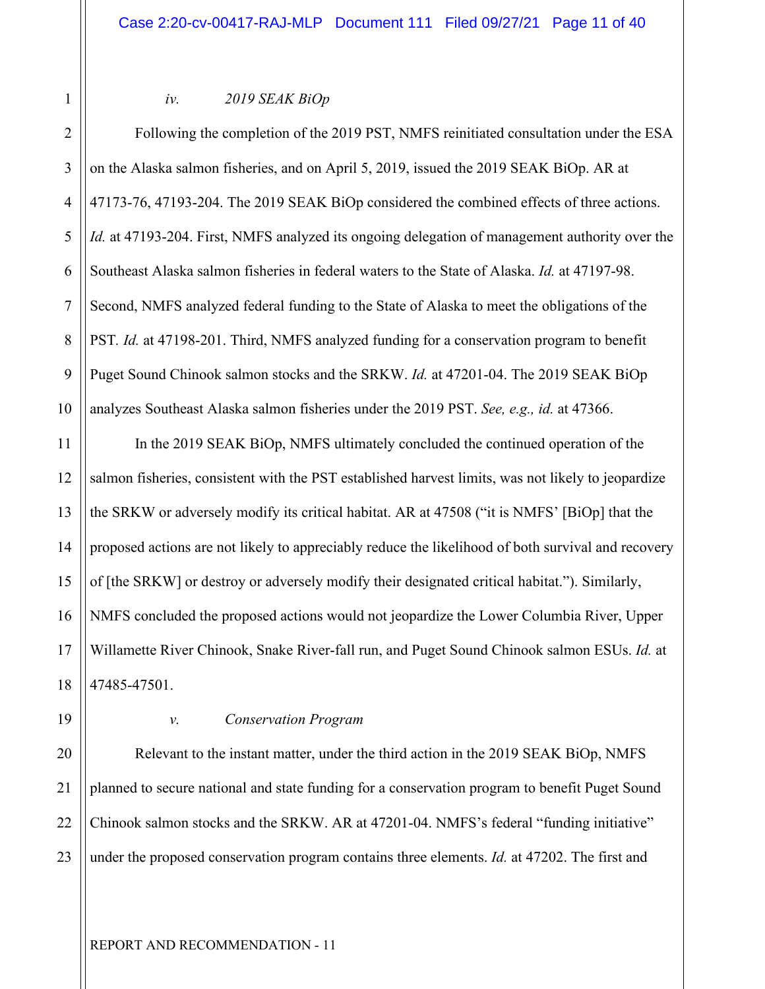#### *iv. 2019 SEAK BiOp*

4 6 8 10 Following the completion of the 2019 PST, NMFS reinitiated consultation under the ESA on the Alaska salmon fisheries, and on April 5, 2019, issued the 2019 SEAK BiOp. AR at 47173-76, 47193-204. The 2019 SEAK BiOp considered the combined effects of three actions. *Id.* at 47193-204. First, NMFS analyzed its ongoing delegation of management authority over the Southeast Alaska salmon fisheries in federal waters to the State of Alaska. *Id.* at 47197-98. Second, NMFS analyzed federal funding to the State of Alaska to meet the obligations of the PST*. Id.* at 47198-201. Third, NMFS analyzed funding for a conservation program to benefit Puget Sound Chinook salmon stocks and the SRKW. *Id.* at 47201-04. The 2019 SEAK BiOp analyzes Southeast Alaska salmon fisheries under the 2019 PST. *See, e.g., id.* at 47366.

11 12 13 14 15 16 17 18 In the 2019 SEAK BiOp, NMFS ultimately concluded the continued operation of the salmon fisheries, consistent with the PST established harvest limits, was not likely to jeopardize the SRKW or adversely modify its critical habitat. AR at 47508 ("it is NMFS' [BiOp] that the proposed actions are not likely to appreciably reduce the likelihood of both survival and recovery of [the SRKW] or destroy or adversely modify their designated critical habitat."). Similarly, NMFS concluded the proposed actions would not jeopardize the Lower Columbia River, Upper Willamette River Chinook, Snake River-fall run, and Puget Sound Chinook salmon ESUs. *Id.* at 47485-47501.

19 20

21

1

2

3

5

7

9

#### *v. Conservation Program*

22 23 Relevant to the instant matter, under the third action in the 2019 SEAK BiOp, NMFS planned to secure national and state funding for a conservation program to benefit Puget Sound Chinook salmon stocks and the SRKW. AR at 47201-04. NMFS's federal "funding initiative" under the proposed conservation program contains three elements. *Id.* at 47202. The first and

REPORT AND RECOMMENDATION - 11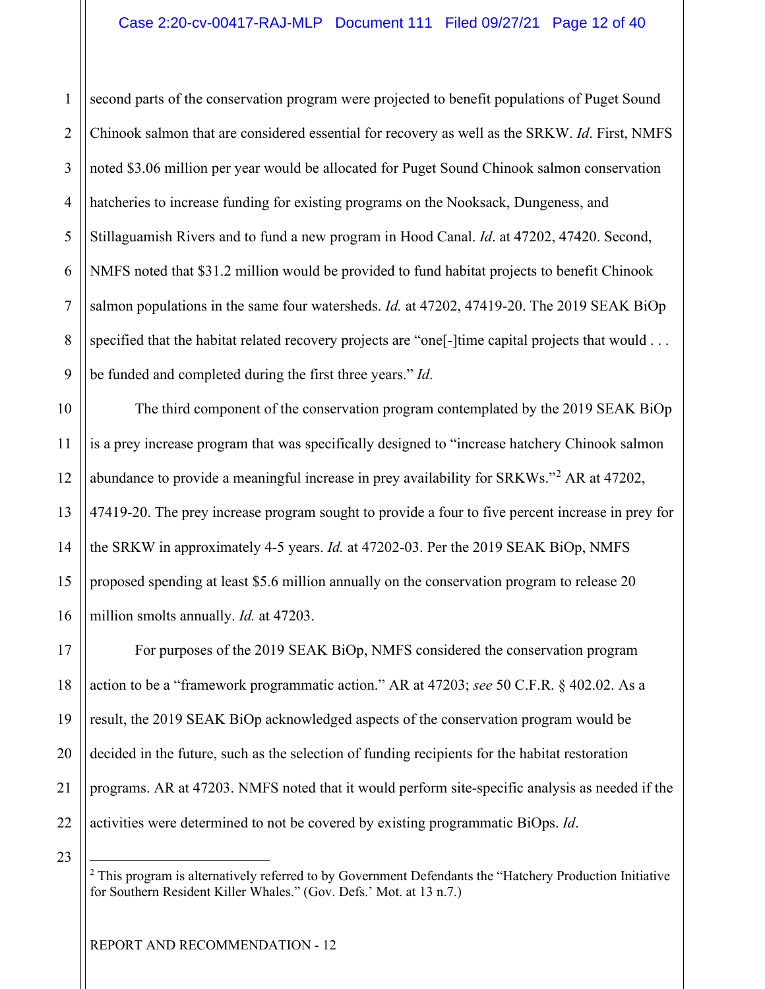1 2 3 4 5 6 7 8 9 second parts of the conservation program were projected to benefit populations of Puget Sound Chinook salmon that are considered essential for recovery as well as the SRKW. *Id*. First, NMFS noted \$3.06 million per year would be allocated for Puget Sound Chinook salmon conservation hatcheries to increase funding for existing programs on the Nooksack, Dungeness, and Stillaguamish Rivers and to fund a new program in Hood Canal. *Id*. at 47202, 47420. Second, NMFS noted that \$31.2 million would be provided to fund habitat projects to benefit Chinook salmon populations in the same four watersheds. *Id.* at 47202, 47419-20. The 2019 SEAK BiOp specified that the habitat related recovery projects are "one<sup>[</sup>-]time capital projects that would . . . be funded and completed during the first three years." *Id*.

The third component of the conservation program contemplated by the 2019 SEAK BiOp is a prey increase program that was specifically designed to "increase hatchery Chinook salmon abundance to provide a meaningful increase in prey availability for SRKWs."<sup>[2](#page-11-0)</sup> AR at 47202, 47419-20. The prey increase program sought to provide a four to five percent increase in prey for the SRKW in approximately 4-5 years. *Id.* at 47202-03. Per the 2019 SEAK BiOp, NMFS proposed spending at least \$5.6 million annually on the conservation program to release 20 million smolts annually. *Id.* at 47203.

For purposes of the 2019 SEAK BiOp, NMFS considered the conservation program action to be a "framework programmatic action." AR at 47203; *see* 50 C.F.R. § 402.02. As a result, the 2019 SEAK BiOp acknowledged aspects of the conservation program would be decided in the future, such as the selection of funding recipients for the habitat restoration programs. AR at 47203. NMFS noted that it would perform site-specific analysis as needed if the activities were determined to not be covered by existing programmatic BiOps. *Id*.

<span id="page-11-0"></span>23

22

10

11

12

13

14

15

16

17

18

19

20

 $2$  This program is alternatively referred to by Government Defendants the "Hatchery Production Initiative for Southern Resident Killer Whales." (Gov. Defs.' Mot. at 13 n.7.)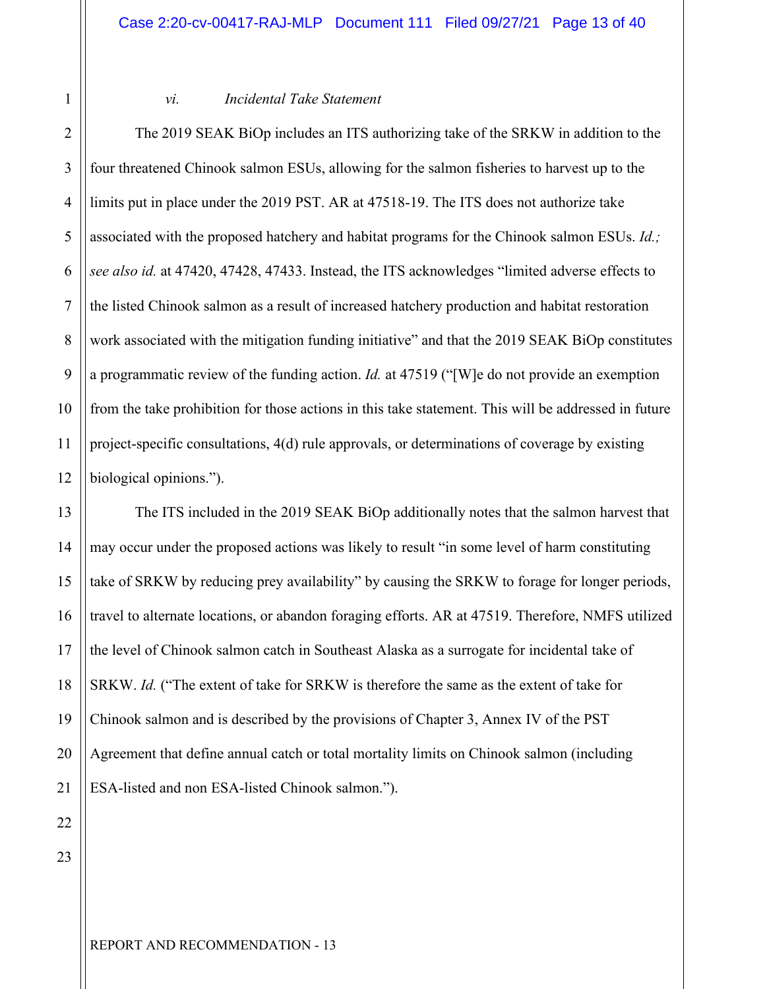#### *vi. Incidental Take Statement*

4 6 7 8 9 10 12 The 2019 SEAK BiOp includes an ITS authorizing take of the SRKW in addition to the four threatened Chinook salmon ESUs, allowing for the salmon fisheries to harvest up to the limits put in place under the 2019 PST. AR at 47518-19. The ITS does not authorize take associated with the proposed hatchery and habitat programs for the Chinook salmon ESUs. *Id.; see also id.* at 47420, 47428, 47433. Instead, the ITS acknowledges "limited adverse effects to the listed Chinook salmon as a result of increased hatchery production and habitat restoration work associated with the mitigation funding initiative" and that the 2019 SEAK BiOp constitutes a programmatic review of the funding action. *Id.* at 47519 ("[W]e do not provide an exemption from the take prohibition for those actions in this take statement. This will be addressed in future project-specific consultations, 4(d) rule approvals, or determinations of coverage by existing biological opinions.").

13 14 15 16 17 18 19 20 The ITS included in the 2019 SEAK BiOp additionally notes that the salmon harvest that may occur under the proposed actions was likely to result "in some level of harm constituting take of SRKW by reducing prey availability" by causing the SRKW to forage for longer periods, travel to alternate locations, or abandon foraging efforts. AR at 47519. Therefore, NMFS utilized the level of Chinook salmon catch in Southeast Alaska as a surrogate for incidental take of SRKW. *Id.* ("The extent of take for SRKW is therefore the same as the extent of take for Chinook salmon and is described by the provisions of Chapter 3, Annex IV of the PST Agreement that define annual catch or total mortality limits on Chinook salmon (including ESA-listed and non ESA-listed Chinook salmon.").

23

22

21

1

2

3

5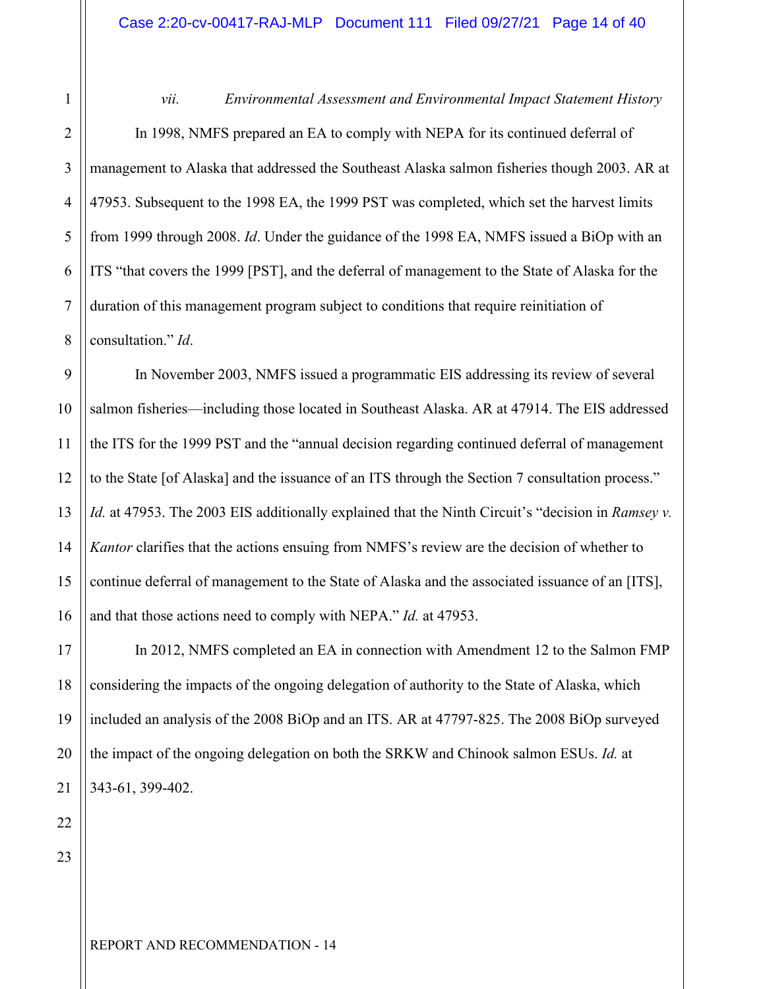*vii. Environmental Assessment and Environmental Impact Statement History*  In 1998, NMFS prepared an EA to comply with NEPA for its continued deferral of management to Alaska that addressed the Southeast Alaska salmon fisheries though 2003. AR at 47953. Subsequent to the 1998 EA, the 1999 PST was completed, which set the harvest limits from 1999 through 2008. *Id*. Under the guidance of the 1998 EA, NMFS issued a BiOp with an ITS "that covers the 1999 [PST], and the deferral of management to the State of Alaska for the duration of this management program subject to conditions that require reinitiation of consultation." *Id*.

9 10 12 13 14 15 16 In November 2003, NMFS issued a programmatic EIS addressing its review of several salmon fisheries—including those located in Southeast Alaska. AR at 47914. The EIS addressed the ITS for the 1999 PST and the "annual decision regarding continued deferral of management to the State [of Alaska] and the issuance of an ITS through the Section 7 consultation process." *Id.* at 47953. The 2003 EIS additionally explained that the Ninth Circuit's "decision in *Ramsey v. Kantor* clarifies that the actions ensuing from NMFS's review are the decision of whether to continue deferral of management to the State of Alaska and the associated issuance of an [ITS], and that those actions need to comply with NEPA." *Id.* at 47953.

In 2012, NMFS completed an EA in connection with Amendment 12 to the Salmon FMP considering the impacts of the ongoing delegation of authority to the State of Alaska, which included an analysis of the 2008 BiOp and an ITS. AR at 47797-825. The 2008 BiOp surveyed the impact of the ongoing delegation on both the SRKW and Chinook salmon ESUs. *Id.* at 343-61, 399-402.

23

22

17

18

19

20

21

1

2

3

4

5

6

7

8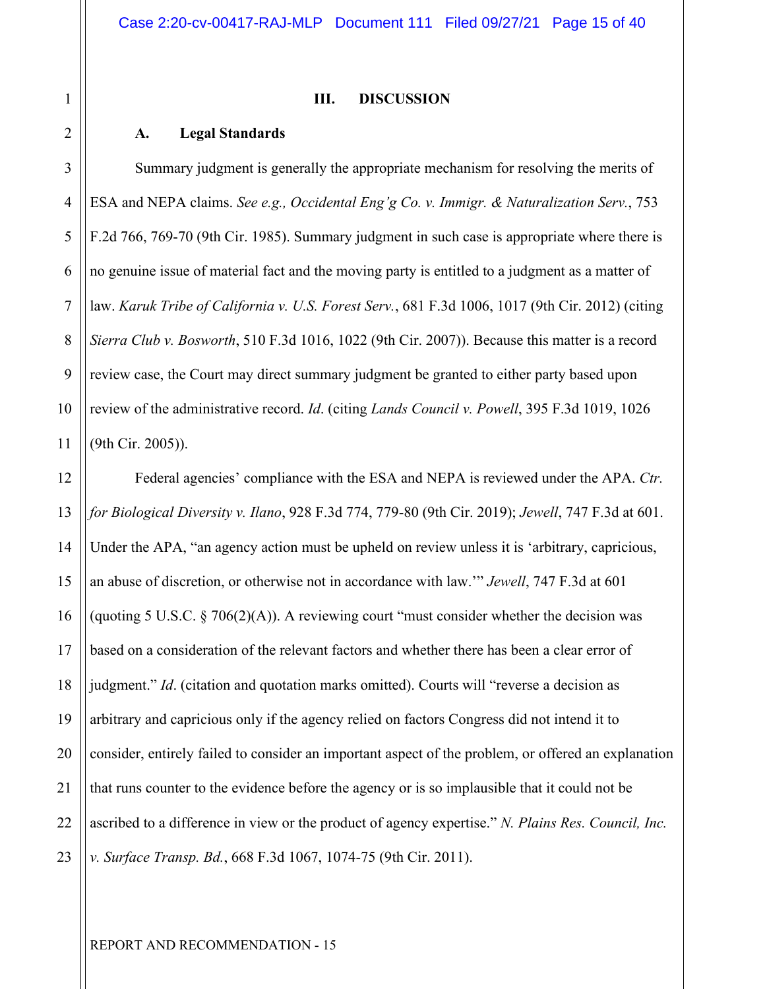#### **III. DISCUSSION**

#### **A. Legal Standards**

6 7 8 9 10 11 Summary judgment is generally the appropriate mechanism for resolving the merits of ESA and NEPA claims. *See e.g., Occidental Eng'g Co. v. Immigr. & Naturalization Serv.*, 753 F.2d 766, 769-70 (9th Cir. 1985). Summary judgment in such case is appropriate where there is no genuine issue of material fact and the moving party is entitled to a judgment as a matter of law. *Karuk Tribe of California v. U.S. Forest Serv.*, 681 F.3d 1006, 1017 (9th Cir. 2012) (citing *Sierra Club v. Bosworth*, 510 F.3d 1016, 1022 (9th Cir. 2007)). Because this matter is a record review case, the Court may direct summary judgment be granted to either party based upon review of the administrative record. *Id*. (citing *Lands Council v. Powell*, 395 F.3d 1019, 1026 (9th Cir. 2005)).

12 13 14 15 16 17 18 19 20 21 22 23 Federal agencies' compliance with the ESA and NEPA is reviewed under the APA. *Ctr. for Biological Diversity v. Ilano*, 928 F.3d 774, 779-80 (9th Cir. 2019); *Jewell*, 747 F.3d at 601. Under the APA, "an agency action must be upheld on review unless it is 'arbitrary, capricious, an abuse of discretion, or otherwise not in accordance with law.'" *Jewell*, 747 F.3d at 601 (quoting 5 U.S.C. § 706(2)(A)). A reviewing court "must consider whether the decision was based on a consideration of the relevant factors and whether there has been a clear error of judgment." *Id*. (citation and quotation marks omitted). Courts will "reverse a decision as arbitrary and capricious only if the agency relied on factors Congress did not intend it to consider, entirely failed to consider an important aspect of the problem, or offered an explanation that runs counter to the evidence before the agency or is so implausible that it could not be ascribed to a difference in view or the product of agency expertise." *N. Plains Res. Council, Inc. v. Surface Transp. Bd.*, 668 F.3d 1067, 1074-75 (9th Cir. 2011).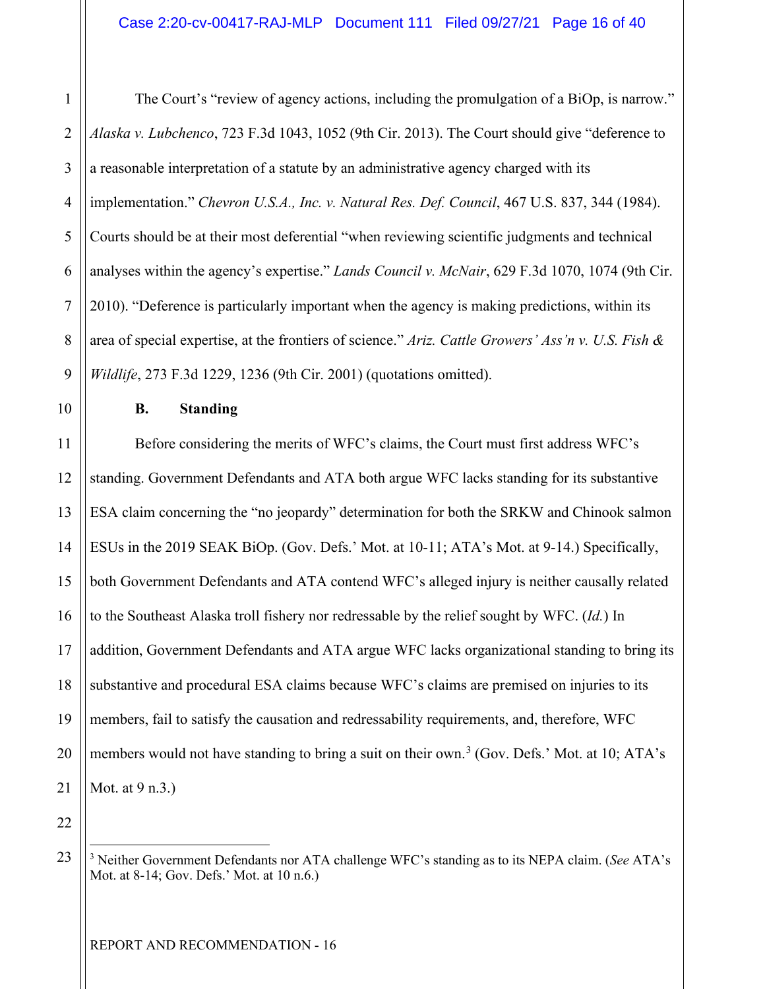5

6

7

1

4 8 9 The Court's "review of agency actions, including the promulgation of a BiOp, is narrow." *Alaska v. Lubchenco*, 723 F.3d 1043, 1052 (9th Cir. 2013). The Court should give "deference to a reasonable interpretation of a statute by an administrative agency charged with its implementation." *Chevron U.S.A., Inc. v. Natural Res. Def. Council*, 467 U.S. 837, 344 (1984). Courts should be at their most deferential "when reviewing scientific judgments and technical analyses within the agency's expertise." *Lands Council v. McNair*, 629 F.3d 1070, 1074 (9th Cir. 2010). "Deference is particularly important when the agency is making predictions, within its area of special expertise, at the frontiers of science." *Ariz. Cattle Growers' Ass'n v. U.S. Fish & Wildlife*, 273 F.3d 1229, 1236 (9th Cir. 2001) (quotations omitted).

10 11

#### **B. Standing**

12 13 14 15 16 17 18 19 20 21 Before considering the merits of WFC's claims, the Court must first address WFC's standing. Government Defendants and ATA both argue WFC lacks standing for its substantive ESA claim concerning the "no jeopardy" determination for both the SRKW and Chinook salmon ESUs in the 2019 SEAK BiOp. (Gov. Defs.' Mot. at 10-11; ATA's Mot. at 9-14.) Specifically, both Government Defendants and ATA contend WFC's alleged injury is neither causally related to the Southeast Alaska troll fishery nor redressable by the relief sought by WFC. (*Id.*) In addition, Government Defendants and ATA argue WFC lacks organizational standing to bring its substantive and procedural ESA claims because WFC's claims are premised on injuries to its members, fail to satisfy the causation and redressability requirements, and, therefore, WFC members would not have standing to bring a suit on their own.<sup>[3](#page-15-0)</sup> (Gov. Defs.' Mot. at 10; ATA's Mot. at 9 n.3.)

<span id="page-15-0"></span>23

<sup>3</sup> Neither Government Defendants nor ATA challenge WFC's standing as to its NEPA claim. (*See* ATA's Mot. at 8-14; Gov. Defs.' Mot. at 10 n.6.)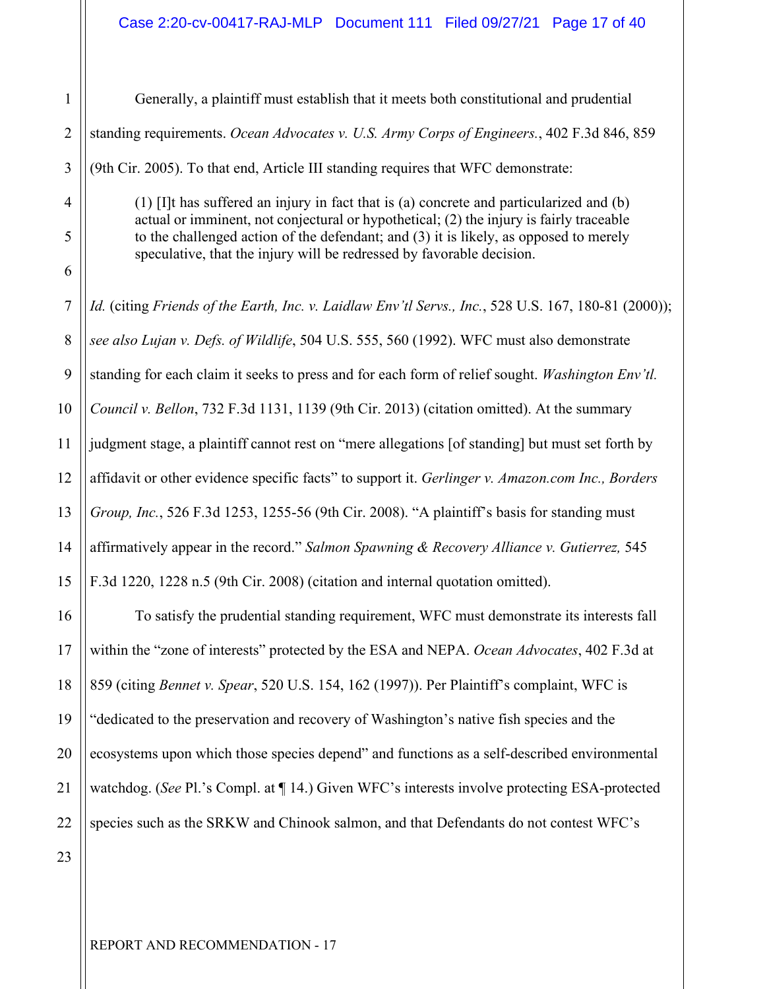1 2 3 4 5 6 7 8 9 10 11 12 13 14 15 16 17 18 19 20 21 22 Generally, a plaintiff must establish that it meets both constitutional and prudential standing requirements. *Ocean Advocates v. U.S. Army Corps of Engineers.*, 402 F.3d 846, 859 (9th Cir. 2005). To that end, Article III standing requires that WFC demonstrate: (1) [I]t has suffered an injury in fact that is (a) concrete and particularized and (b) actual or imminent, not conjectural or hypothetical; (2) the injury is fairly traceable to the challenged action of the defendant; and (3) it is likely, as opposed to merely speculative, that the injury will be redressed by favorable decision. *Id.* (citing *Friends of the Earth, Inc. v. Laidlaw Env'tl Servs., Inc.*, 528 U.S. 167, 180-81 (2000)); *see also Lujan v. Defs. of Wildlife*, 504 U.S. 555, 560 (1992). WFC must also demonstrate standing for each claim it seeks to press and for each form of relief sought. *Washington Env'tl. Council v. Bellon*, 732 F.3d 1131, 1139 (9th Cir. 2013) (citation omitted). At the summary judgment stage, a plaintiff cannot rest on "mere allegations [of standing] but must set forth by affidavit or other evidence specific facts" to support it. *Gerlinger v. Amazon.com Inc., Borders Group, Inc.*, 526 F.3d 1253, 1255-56 (9th Cir. 2008). "A plaintiff's basis for standing must affirmatively appear in the record." *Salmon Spawning & Recovery Alliance v. Gutierrez,* 545 F.3d 1220, 1228 n.5 (9th Cir. 2008) (citation and internal quotation omitted). To satisfy the prudential standing requirement, WFC must demonstrate its interests fall within the "zone of interests" protected by the ESA and NEPA. *Ocean Advocates*, 402 F.3d at 859 (citing *Bennet v. Spear*, 520 U.S. 154, 162 (1997)). Per Plaintiff's complaint, WFC is "dedicated to the preservation and recovery of Washington's native fish species and the ecosystems upon which those species depend" and functions as a self-described environmental watchdog. (*See* Pl.'s Compl. at ¶ 14.) Given WFC's interests involve protecting ESA-protected species such as the SRKW and Chinook salmon, and that Defendants do not contest WFC's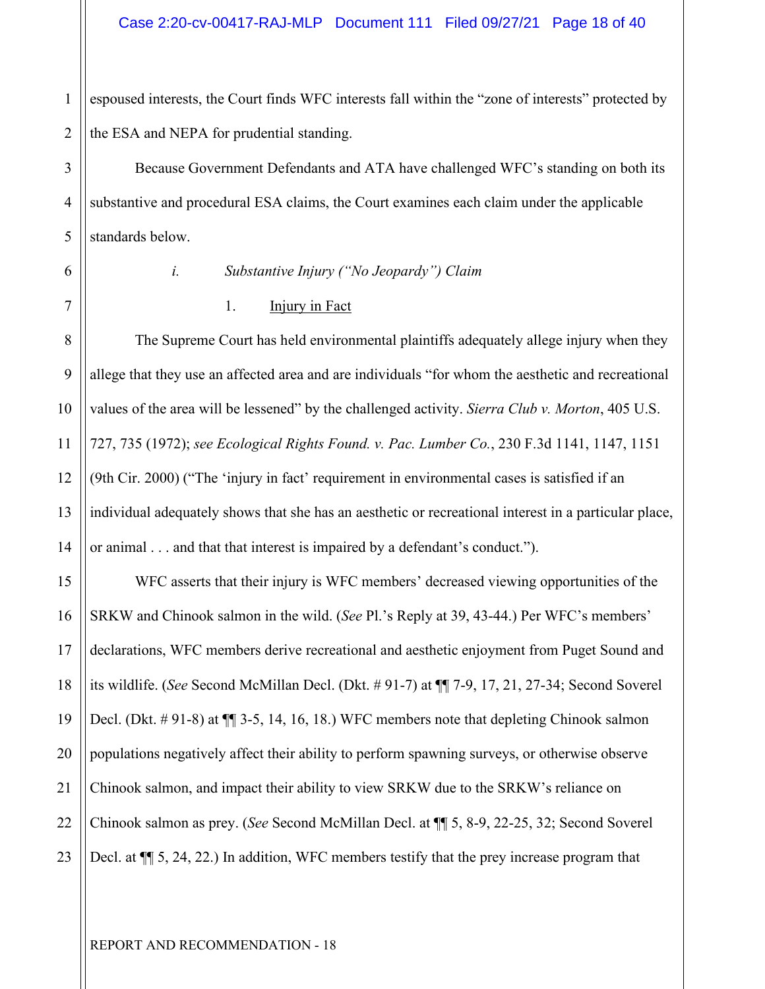1 2 espoused interests, the Court finds WFC interests fall within the "zone of interests" protected by the ESA and NEPA for prudential standing.

Because Government Defendants and ATA have challenged WFC's standing on both its substantive and procedural ESA claims, the Court examines each claim under the applicable standards below.

# 6 7

3

4

5

#### *i. Substantive Injury ("No Jeopardy") Claim*

#### 1. Injury in Fact

The Supreme Court has held environmental plaintiffs adequately allege injury when they allege that they use an affected area and are individuals "for whom the aesthetic and recreational values of the area will be lessened" by the challenged activity. *Sierra Club v. Morton*, 405 U.S. 727, 735 (1972); *see Ecological Rights Found. v. Pac. Lumber Co.*, 230 F.3d 1141, 1147, 1151 (9th Cir. 2000) ("The 'injury in fact' requirement in environmental cases is satisfied if an individual adequately shows that she has an aesthetic or recreational interest in a particular place, or animal . . . and that that interest is impaired by a defendant's conduct.").

WFC asserts that their injury is WFC members' decreased viewing opportunities of the SRKW and Chinook salmon in the wild. (*See* Pl.'s Reply at 39, 43-44.) Per WFC's members' declarations, WFC members derive recreational and aesthetic enjoyment from Puget Sound and its wildlife. (*See* Second McMillan Decl. (Dkt. # 91-7) at ¶¶ 7-9, 17, 21, 27-34; Second Soverel Decl. (Dkt. # 91-8) at ¶¶ 3-5, 14, 16, 18.) WFC members note that depleting Chinook salmon populations negatively affect their ability to perform spawning surveys, or otherwise observe Chinook salmon, and impact their ability to view SRKW due to the SRKW's reliance on Chinook salmon as prey. (*See* Second McMillan Decl. at ¶¶ 5, 8-9, 22-25, 32; Second Soverel Decl. at ¶¶ 5, 24, 22.) In addition, WFC members testify that the prey increase program that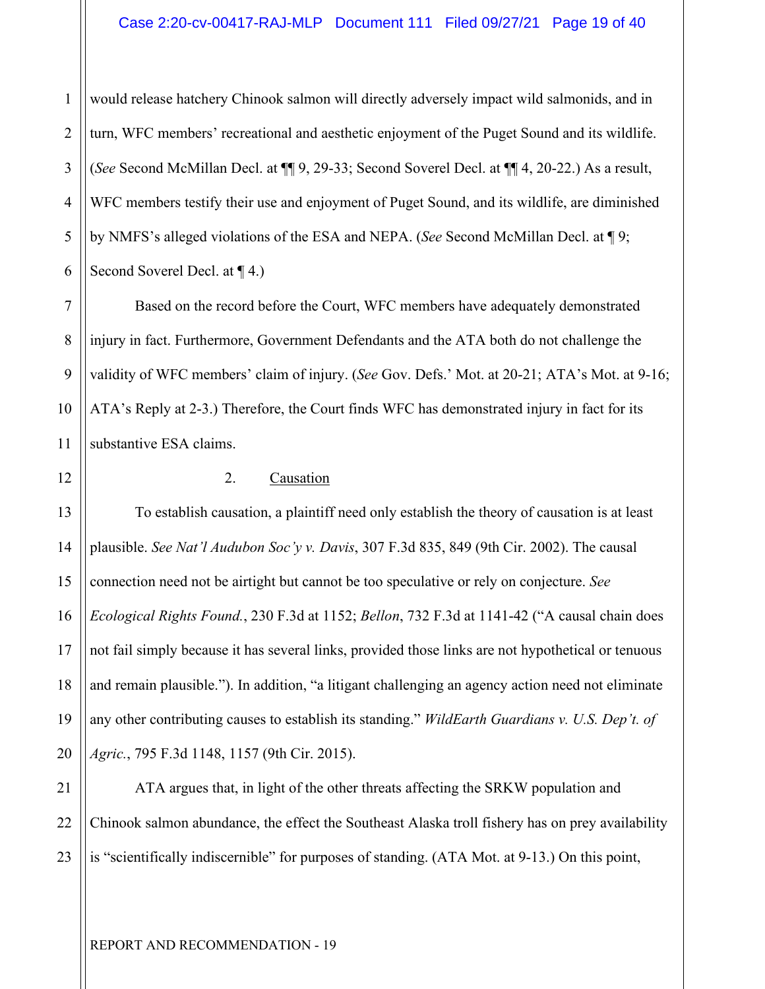1 2 3 4 5 6 would release hatchery Chinook salmon will directly adversely impact wild salmonids, and in turn, WFC members' recreational and aesthetic enjoyment of the Puget Sound and its wildlife. (*See* Second McMillan Decl. at ¶¶ 9, 29-33; Second Soverel Decl. at ¶¶ 4, 20-22.) As a result, WFC members testify their use and enjoyment of Puget Sound, and its wildlife, are diminished by NMFS's alleged violations of the ESA and NEPA. (*See* Second McMillan Decl. at ¶ 9; Second Soverel Decl. at ¶ 4.)

Based on the record before the Court, WFC members have adequately demonstrated injury in fact. Furthermore, Government Defendants and the ATA both do not challenge the validity of WFC members' claim of injury. (*See* Gov. Defs.' Mot. at 20-21; ATA's Mot. at 9-16; ATA's Reply at 2-3.) Therefore, the Court finds WFC has demonstrated injury in fact for its substantive ESA claims.

7

8

9

10

11

12

#### 2. Causation

13 14 15 16 17 18 19 20 To establish causation, a plaintiff need only establish the theory of causation is at least plausible. *See Nat'l Audubon Soc'y v. Davis*, 307 F.3d 835, 849 (9th Cir. 2002). The causal connection need not be airtight but cannot be too speculative or rely on conjecture. *See Ecological Rights Found.*, 230 F.3d at 1152; *Bellon*, 732 F.3d at 1141-42 ("A causal chain does not fail simply because it has several links, provided those links are not hypothetical or tenuous and remain plausible."). In addition, "a litigant challenging an agency action need not eliminate any other contributing causes to establish its standing." *WildEarth Guardians v. U.S. Dep't. of Agric.*, 795 F.3d 1148, 1157 (9th Cir. 2015).

21 22 23 ATA argues that, in light of the other threats affecting the SRKW population and Chinook salmon abundance, the effect the Southeast Alaska troll fishery has on prey availability is "scientifically indiscernible" for purposes of standing. (ATA Mot. at 9-13.) On this point,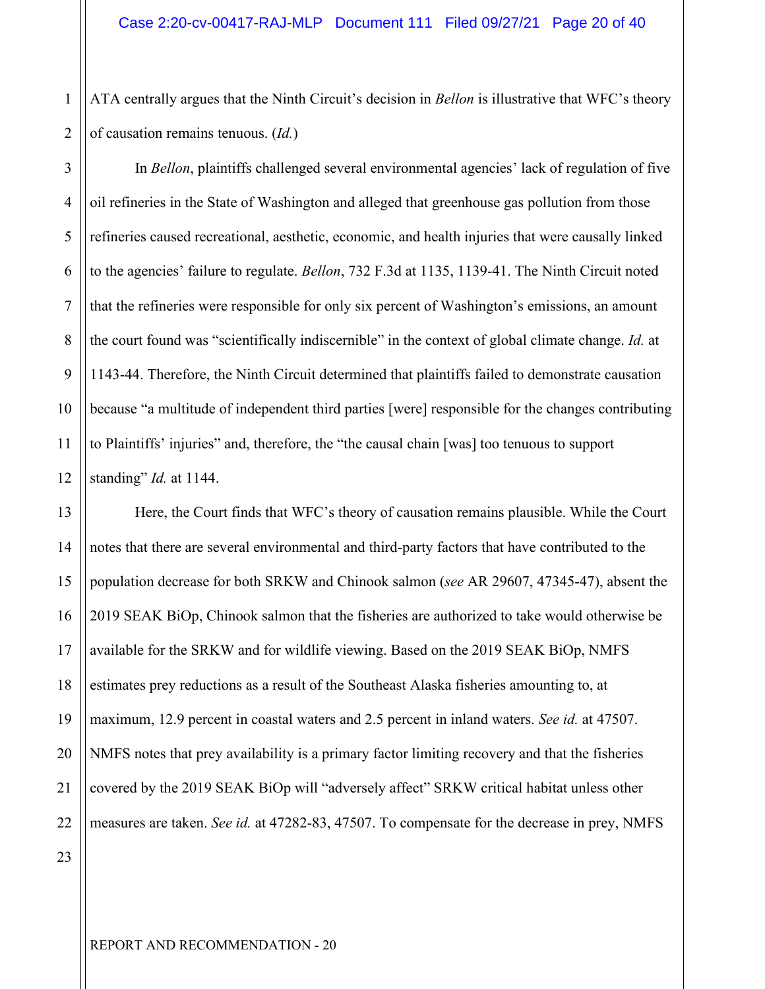1 ATA centrally argues that the Ninth Circuit's decision in *Bellon* is illustrative that WFC's theory of causation remains tenuous. (*Id.*)

6

7

8

9

10

11

12

In *Bellon*, plaintiffs challenged several environmental agencies' lack of regulation of five oil refineries in the State of Washington and alleged that greenhouse gas pollution from those refineries caused recreational, aesthetic, economic, and health injuries that were causally linked to the agencies' failure to regulate. *Bellon*, 732 F.3d at 1135, 1139-41. The Ninth Circuit noted that the refineries were responsible for only six percent of Washington's emissions, an amount the court found was "scientifically indiscernible" in the context of global climate change. *Id.* at 1143-44. Therefore, the Ninth Circuit determined that plaintiffs failed to demonstrate causation because "a multitude of independent third parties [were] responsible for the changes contributing to Plaintiffs' injuries" and, therefore, the "the causal chain [was] too tenuous to support standing" *Id.* at 1144.

13 14 15 16 17 18 19 20 21 22 Here, the Court finds that WFC's theory of causation remains plausible. While the Court notes that there are several environmental and third-party factors that have contributed to the population decrease for both SRKW and Chinook salmon (*see* AR 29607, 47345-47), absent the 2019 SEAK BiOp, Chinook salmon that the fisheries are authorized to take would otherwise be available for the SRKW and for wildlife viewing. Based on the 2019 SEAK BiOp, NMFS estimates prey reductions as a result of the Southeast Alaska fisheries amounting to, at maximum, 12.9 percent in coastal waters and 2.5 percent in inland waters. *See id.* at 47507. NMFS notes that prey availability is a primary factor limiting recovery and that the fisheries covered by the 2019 SEAK BiOp will "adversely affect" SRKW critical habitat unless other measures are taken. *See id.* at 47282-83, 47507. To compensate for the decrease in prey, NMFS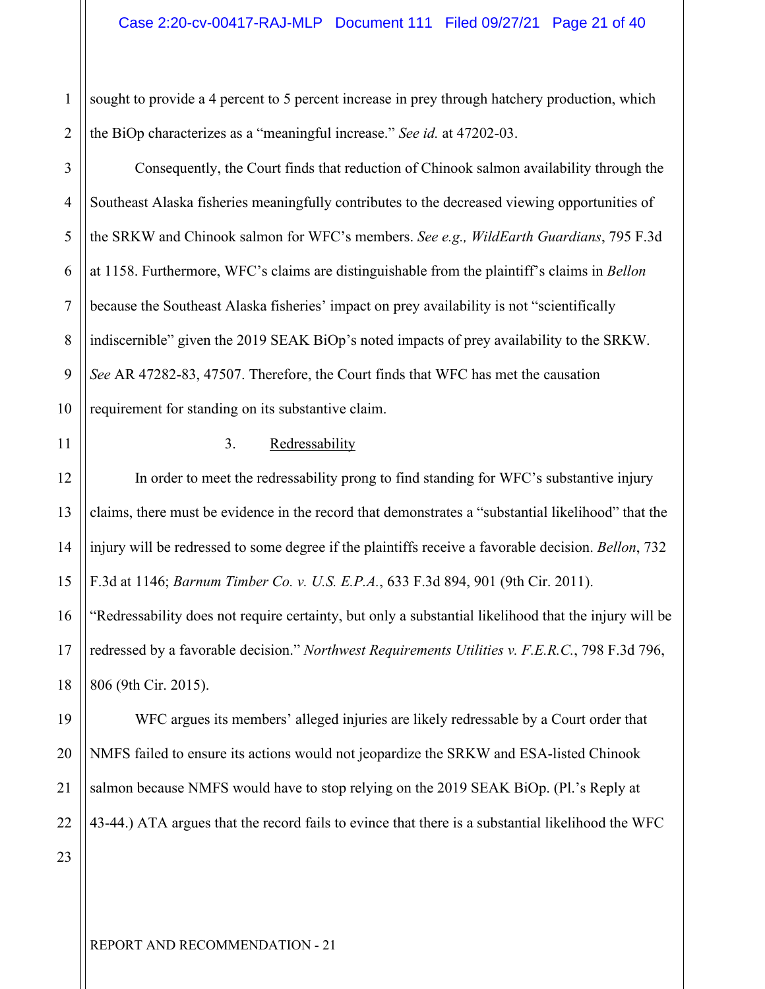1 2 sought to provide a 4 percent to 5 percent increase in prey through hatchery production, which the BiOp characterizes as a "meaningful increase." *See id.* at 47202-03.

4 8 9 10 Consequently, the Court finds that reduction of Chinook salmon availability through the Southeast Alaska fisheries meaningfully contributes to the decreased viewing opportunities of the SRKW and Chinook salmon for WFC's members. *See e.g., WildEarth Guardians*, 795 F.3d at 1158. Furthermore, WFC's claims are distinguishable from the plaintiff's claims in *Bellon* because the Southeast Alaska fisheries' impact on prey availability is not "scientifically indiscernible" given the 2019 SEAK BiOp's noted impacts of prey availability to the SRKW. *See* AR 47282-83, 47507. Therefore, the Court finds that WFC has met the causation requirement for standing on its substantive claim.

11

3

5

6

7

#### 3. Redressability

12 13 14 15 16 18 In order to meet the redressability prong to find standing for WFC's substantive injury claims, there must be evidence in the record that demonstrates a "substantial likelihood" that the injury will be redressed to some degree if the plaintiffs receive a favorable decision. *Bellon*, 732 F.3d at 1146; *Barnum Timber Co. v. U.S. E.P.A.*, 633 F.3d 894, 901 (9th Cir. 2011). "Redressability does not require certainty, but only a substantial likelihood that the injury will be redressed by a favorable decision." *Northwest Requirements Utilities v. F.E.R.C.*, 798 F.3d 796, 806 (9th Cir. 2015).

19 20 21 22 WFC argues its members' alleged injuries are likely redressable by a Court order that NMFS failed to ensure its actions would not jeopardize the SRKW and ESA-listed Chinook salmon because NMFS would have to stop relying on the 2019 SEAK BiOp. (Pl.'s Reply at 43-44.) ATA argues that the record fails to evince that there is a substantial likelihood the WFC

23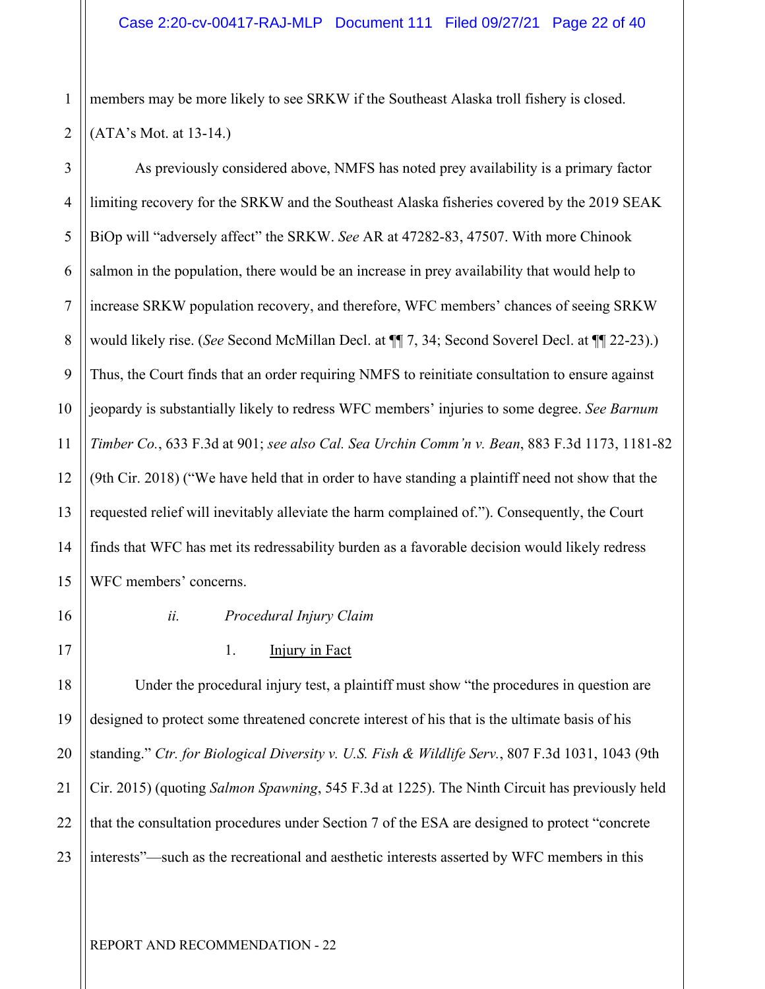As previously considered above, NMFS has noted prey availability is a primary factor

members may be more likely to see SRKW if the Southeast Alaska troll fishery is closed. (ATA's Mot. at 13-14.)

2 3 4

1

5 6 7 8 9 10 11 12 13 14 15 limiting recovery for the SRKW and the Southeast Alaska fisheries covered by the 2019 SEAK BiOp will "adversely affect" the SRKW. *See* AR at 47282-83, 47507. With more Chinook salmon in the population, there would be an increase in prey availability that would help to increase SRKW population recovery, and therefore, WFC members' chances of seeing SRKW would likely rise. (*See* Second McMillan Decl. at ¶¶ 7, 34; Second Soverel Decl. at ¶¶ 22-23).) Thus, the Court finds that an order requiring NMFS to reinitiate consultation to ensure against jeopardy is substantially likely to redress WFC members' injuries to some degree. *See Barnum Timber Co.*, 633 F.3d at 901; *see also Cal. Sea Urchin Comm'n v. Bean*, 883 F.3d 1173, 1181-82 (9th Cir. 2018) ("We have held that in order to have standing a plaintiff need not show that the requested relief will inevitably alleviate the harm complained of."). Consequently, the Court finds that WFC has met its redressability burden as a favorable decision would likely redress WFC members' concerns.

16

17

21

## *ii. Procedural Injury Claim*

#### 1. **Injury in Fact**

18 19 20 22 23 Under the procedural injury test, a plaintiff must show "the procedures in question are designed to protect some threatened concrete interest of his that is the ultimate basis of his standing." *Ctr. for Biological Diversity v. U.S. Fish & Wildlife Serv.*, 807 F.3d 1031, 1043 (9th Cir. 2015) (quoting *Salmon Spawning*, 545 F.3d at 1225). The Ninth Circuit has previously held that the consultation procedures under Section 7 of the ESA are designed to protect "concrete interests"—such as the recreational and aesthetic interests asserted by WFC members in this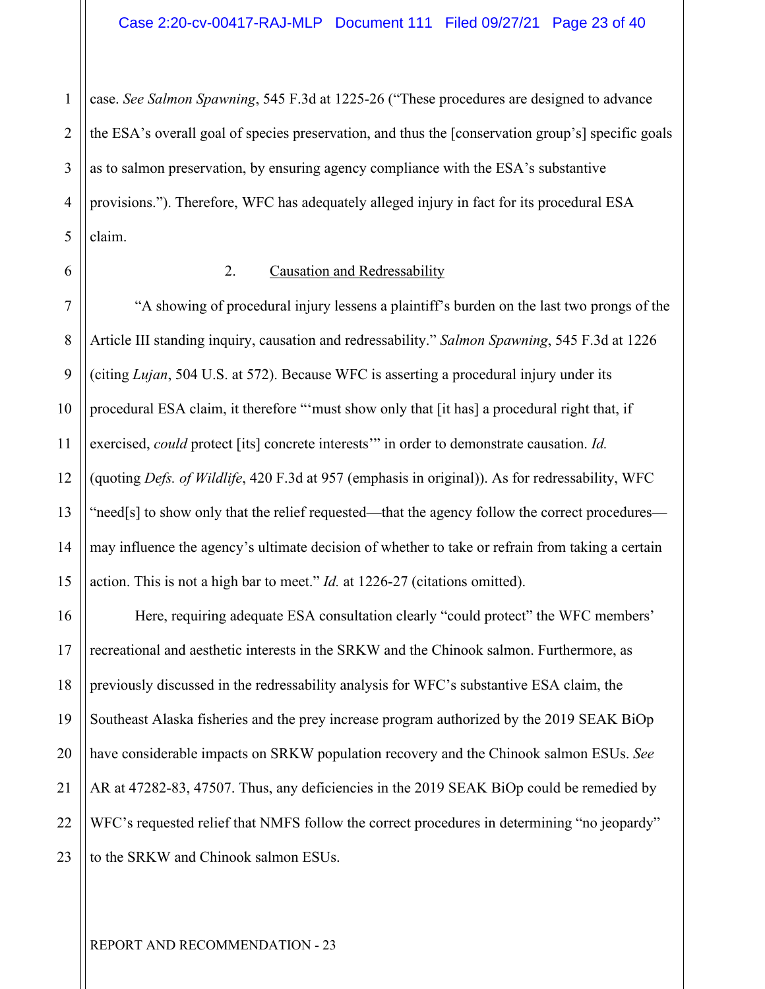1 2 3 4 5 case. *See Salmon Spawning*, 545 F.3d at 1225-26 ("These procedures are designed to advance the ESA's overall goal of species preservation, and thus the [conservation group's] specific goals as to salmon preservation, by ensuring agency compliance with the ESA's substantive provisions."). Therefore, WFC has adequately alleged injury in fact for its procedural ESA claim.

6

#### 2. Causation and Redressability

7 8 9 10 11 12 13 14 15 "A showing of procedural injury lessens a plaintiff's burden on the last two prongs of the Article III standing inquiry, causation and redressability." *Salmon Spawning*, 545 F.3d at 1226 (citing *Lujan*, 504 U.S. at 572). Because WFC is asserting a procedural injury under its procedural ESA claim, it therefore "'must show only that [it has] a procedural right that, if exercised, *could* protect [its] concrete interests'" in order to demonstrate causation. *Id.* (quoting *Defs. of Wildlife*, 420 F.3d at 957 (emphasis in original)). As for redressability, WFC "need[s] to show only that the relief requested—that the agency follow the correct procedures may influence the agency's ultimate decision of whether to take or refrain from taking a certain action. This is not a high bar to meet." *Id.* at 1226-27 (citations omitted).

16 17 18 19 20 21 22 23 Here, requiring adequate ESA consultation clearly "could protect" the WFC members' recreational and aesthetic interests in the SRKW and the Chinook salmon. Furthermore, as previously discussed in the redressability analysis for WFC's substantive ESA claim, the Southeast Alaska fisheries and the prey increase program authorized by the 2019 SEAK BiOp have considerable impacts on SRKW population recovery and the Chinook salmon ESUs. *See* AR at 47282-83, 47507. Thus, any deficiencies in the 2019 SEAK BiOp could be remedied by WFC's requested relief that NMFS follow the correct procedures in determining "no jeopardy" to the SRKW and Chinook salmon ESUs.

REPORT AND RECOMMENDATION - 23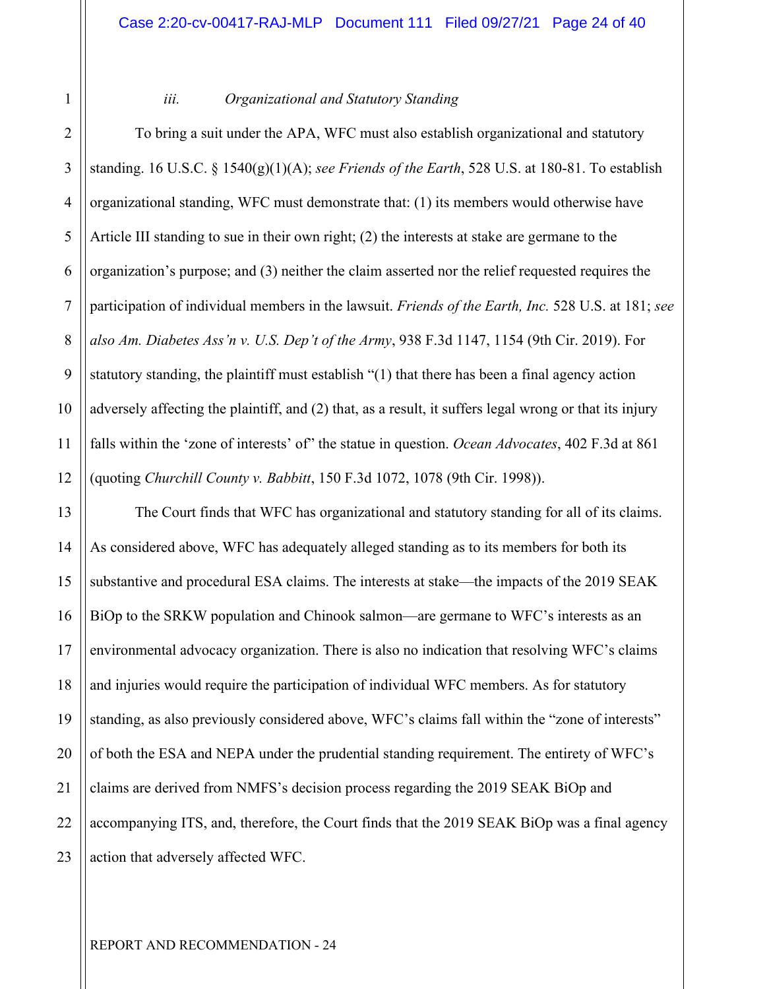1 2

#### *iii. Organizational and Statutory Standing*

3 4 5 6 7 8 9 10 11 12 To bring a suit under the APA, WFC must also establish organizational and statutory standing. 16 U.S.C. § 1540(g)(1)(A); *see Friends of the Earth*, 528 U.S. at 180-81. To establish organizational standing, WFC must demonstrate that: (1) its members would otherwise have Article III standing to sue in their own right; (2) the interests at stake are germane to the organization's purpose; and (3) neither the claim asserted nor the relief requested requires the participation of individual members in the lawsuit. *Friends of the Earth, Inc.* 528 U.S. at 181; *see also Am. Diabetes Ass'n v. U.S. Dep't of the Army*, 938 F.3d 1147, 1154 (9th Cir. 2019). For statutory standing, the plaintiff must establish "(1) that there has been a final agency action adversely affecting the plaintiff, and (2) that, as a result, it suffers legal wrong or that its injury falls within the 'zone of interests' of" the statue in question. *Ocean Advocates*, 402 F.3d at 861 (quoting *Churchill County v. Babbitt*, 150 F.3d 1072, 1078 (9th Cir. 1998)).

13 14 15 16 17 18 19 20 21 22 23 The Court finds that WFC has organizational and statutory standing for all of its claims. As considered above, WFC has adequately alleged standing as to its members for both its substantive and procedural ESA claims. The interests at stake—the impacts of the 2019 SEAK BiOp to the SRKW population and Chinook salmon—are germane to WFC's interests as an environmental advocacy organization. There is also no indication that resolving WFC's claims and injuries would require the participation of individual WFC members. As for statutory standing, as also previously considered above, WFC's claims fall within the "zone of interests" of both the ESA and NEPA under the prudential standing requirement. The entirety of WFC's claims are derived from NMFS's decision process regarding the 2019 SEAK BiOp and accompanying ITS, and, therefore, the Court finds that the 2019 SEAK BiOp was a final agency action that adversely affected WFC.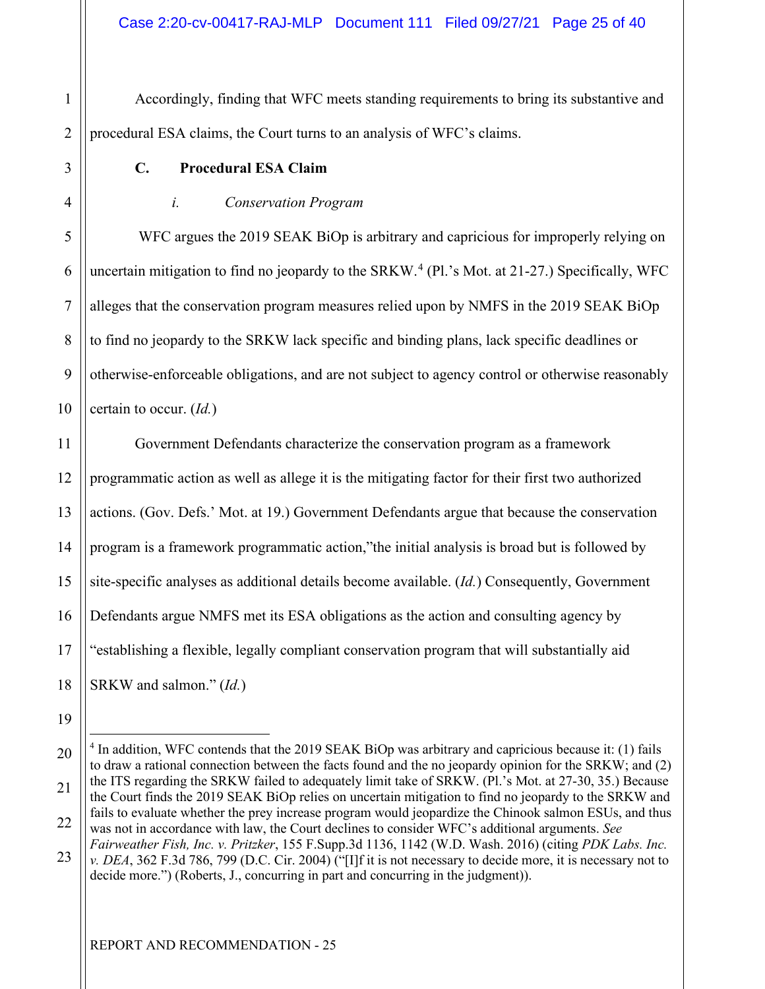Accordingly, finding that WFC meets standing requirements to bring its substantive and procedural ESA claims, the Court turns to an analysis of WFC's claims.

1

2

3

4

5

6

7

8

9

10

### **C. Procedural ESA Claim**

#### *i. Conservation Program*

WFC argues the 2019 SEAK BiOp is arbitrary and capricious for improperly relying on uncertain mitigation to find no jeopardy to the SRKW.<sup>[4](#page-24-0)</sup> (Pl.'s Mot. at 21-27.) Specifically, WFC alleges that the conservation program measures relied upon by NMFS in the 2019 SEAK BiOp to find no jeopardy to the SRKW lack specific and binding plans, lack specific deadlines or otherwise-enforceable obligations, and are not subject to agency control or otherwise reasonably certain to occur. (*Id.*)

11 12 13 14 15 16 17 18 Government Defendants characterize the conservation program as a framework programmatic action as well as allege it is the mitigating factor for their first two authorized actions. (Gov. Defs.' Mot. at 19.) Government Defendants argue that because the conservation program is a framework programmatic action,"the initial analysis is broad but is followed by site-specific analyses as additional details become available. (*Id.*) Consequently, Government Defendants argue NMFS met its ESA obligations as the action and consulting agency by "establishing a flexible, legally compliant conservation program that will substantially aid SRKW and salmon." (*Id.*)

19

23 *Fairweather Fish, Inc. v. Pritzker*, 155 F.Supp.3d 1136, 1142 (W.D. Wash. 2016) (citing *PDK Labs. Inc. v. DEA*, 362 F.3d 786, 799 (D.C. Cir. 2004) ("[I]f it is not necessary to decide more, it is necessary not to decide more.") (Roberts, J., concurring in part and concurring in the judgment)).

<span id="page-24-0"></span><sup>20</sup>  21 22 <sup>4</sup> In addition, WFC contends that the 2019 SEAK BiOp was arbitrary and capricious because it: (1) fails to draw a rational connection between the facts found and the no jeopardy opinion for the SRKW; and (2) the ITS regarding the SRKW failed to adequately limit take of SRKW. (Pl.'s Mot. at 27-30, 35.) Because the Court finds the 2019 SEAK BiOp relies on uncertain mitigation to find no jeopardy to the SRKW and fails to evaluate whether the prey increase program would jeopardize the Chinook salmon ESUs, and thus was not in accordance with law, the Court declines to consider WFC's additional arguments. *See*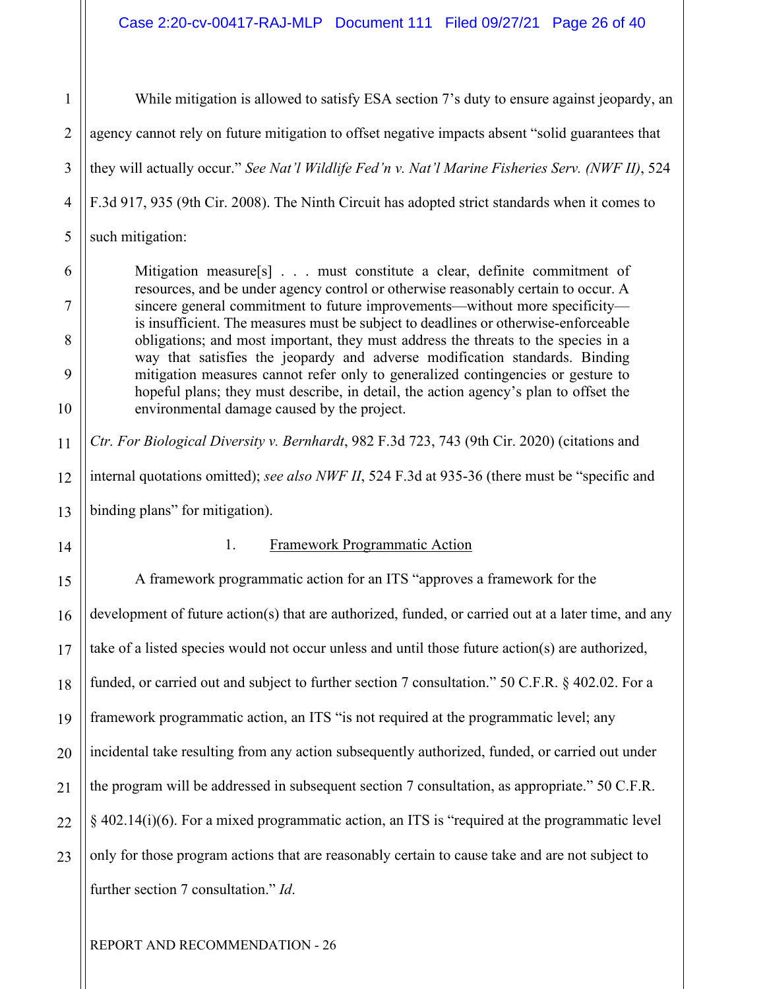1 2 3 4 5 While mitigation is allowed to satisfy ESA section 7's duty to ensure against jeopardy, an agency cannot rely on future mitigation to offset negative impacts absent "solid guarantees that they will actually occur." *See Nat'l Wildlife Fed'n v. Nat'l Marine Fisheries Serv. (NWF II)*, 524 F.3d 917, 935 (9th Cir. 2008). The Ninth Circuit has adopted strict standards when it comes to such mitigation:

Mitigation measure<sup>[s]</sup> . . . must constitute a clear, definite commitment of resources, and be under agency control or otherwise reasonably certain to occur. A sincere general commitment to future improvements—without more specificity is insufficient. The measures must be subject to deadlines or otherwise-enforceable obligations; and most important, they must address the threats to the species in a way that satisfies the jeopardy and adverse modification standards. Binding mitigation measures cannot refer only to generalized contingencies or gesture to hopeful plans; they must describe, in detail, the action agency's plan to offset the environmental damage caused by the project.

12 13 *Ctr. For Biological Diversity v. Bernhardt*, 982 F.3d 723, 743 (9th Cir. 2020) (citations and internal quotations omitted); *see also NWF II*, 524 F.3d at 935-36 (there must be "specific and binding plans" for mitigation).

14

6

7

8

9

10

11

#### 1. Framework Programmatic Action

15 16 17 18 19 20 21 22 23 A framework programmatic action for an ITS "approves a framework for the development of future action(s) that are authorized, funded, or carried out at a later time, and any take of a listed species would not occur unless and until those future action(s) are authorized, funded, or carried out and subject to further section 7 consultation." 50 C.F.R. § 402.02. For a framework programmatic action, an ITS "is not required at the programmatic level; any incidental take resulting from any action subsequently authorized, funded, or carried out under the program will be addressed in subsequent section 7 consultation, as appropriate." 50 C.F.R. § 402.14(i)(6). For a mixed programmatic action, an ITS is "required at the programmatic level only for those program actions that are reasonably certain to cause take and are not subject to further section 7 consultation." *Id*.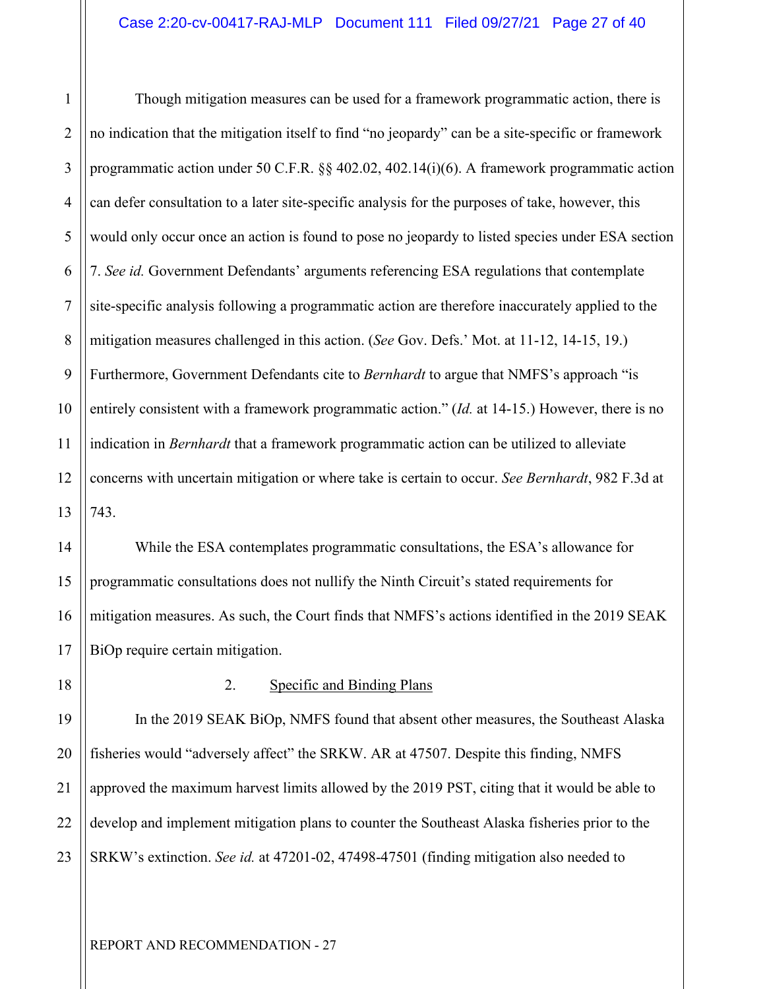1 2 3 4 5 6 7 8 9 10 11 12 13 Though mitigation measures can be used for a framework programmatic action, there is no indication that the mitigation itself to find "no jeopardy" can be a site-specific or framework programmatic action under 50 C.F.R. §§ 402.02, 402.14(i)(6). A framework programmatic action can defer consultation to a later site-specific analysis for the purposes of take, however, this would only occur once an action is found to pose no jeopardy to listed species under ESA section 7. *See id.* Government Defendants' arguments referencing ESA regulations that contemplate site-specific analysis following a programmatic action are therefore inaccurately applied to the mitigation measures challenged in this action. (*See* Gov. Defs.' Mot. at 11-12, 14-15, 19.) Furthermore, Government Defendants cite to *Bernhardt* to argue that NMFS's approach "is entirely consistent with a framework programmatic action." (*Id.* at 14-15.) However, there is no indication in *Bernhardt* that a framework programmatic action can be utilized to alleviate concerns with uncertain mitigation or where take is certain to occur. *See Bernhardt*, 982 F.3d at 743.

14 15 16 17 While the ESA contemplates programmatic consultations, the ESA's allowance for programmatic consultations does not nullify the Ninth Circuit's stated requirements for mitigation measures. As such, the Court finds that NMFS's actions identified in the 2019 SEAK BiOp require certain mitigation.

18

#### 2. Specific and Binding Plans

19 20 21 22 23 In the 2019 SEAK BiOp, NMFS found that absent other measures, the Southeast Alaska fisheries would "adversely affect" the SRKW. AR at 47507. Despite this finding, NMFS approved the maximum harvest limits allowed by the 2019 PST, citing that it would be able to develop and implement mitigation plans to counter the Southeast Alaska fisheries prior to the SRKW's extinction. *See id.* at 47201-02, 47498-47501 (finding mitigation also needed to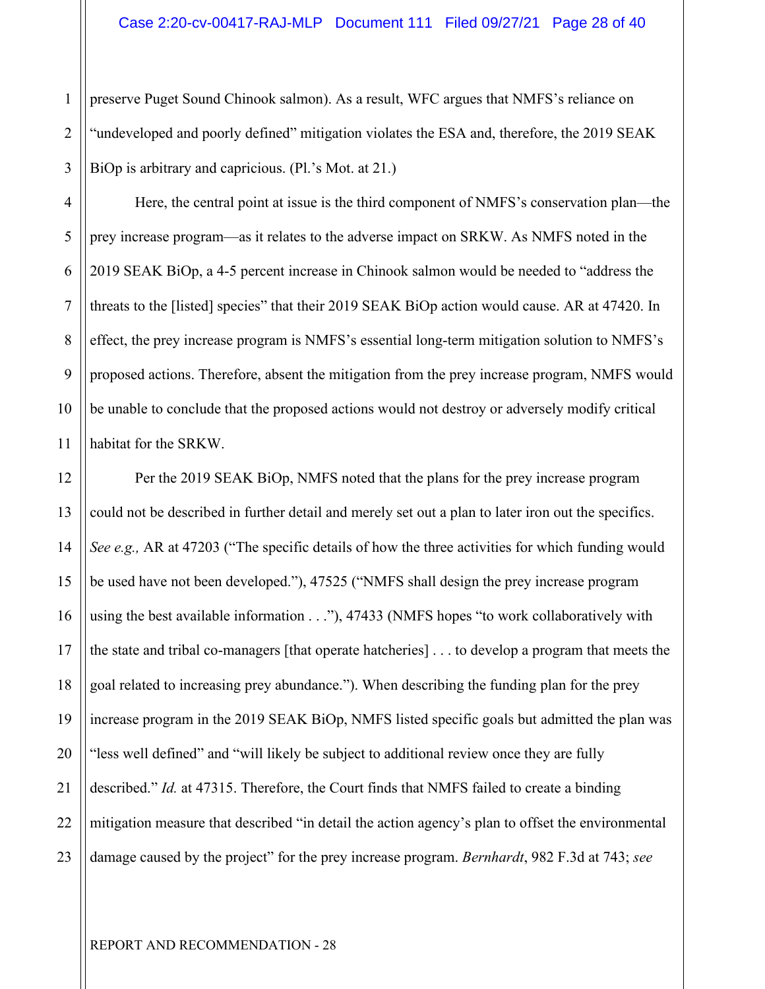1 2 3 preserve Puget Sound Chinook salmon). As a result, WFC argues that NMFS's reliance on "undeveloped and poorly defined" mitigation violates the ESA and, therefore, the 2019 SEAK BiOp is arbitrary and capricious. (Pl.'s Mot. at 21.)

4 5 6 7 8 9 10 11 Here, the central point at issue is the third component of NMFS's conservation plan—the prey increase program—as it relates to the adverse impact on SRKW. As NMFS noted in the 2019 SEAK BiOp, a 4-5 percent increase in Chinook salmon would be needed to "address the threats to the [listed] species" that their 2019 SEAK BiOp action would cause. AR at 47420. In effect, the prey increase program is NMFS's essential long-term mitigation solution to NMFS's proposed actions. Therefore, absent the mitigation from the prey increase program, NMFS would be unable to conclude that the proposed actions would not destroy or adversely modify critical habitat for the SRKW.

12 13 14 15 16 17 18 19 20 21 22 23 Per the 2019 SEAK BiOp, NMFS noted that the plans for the prey increase program could not be described in further detail and merely set out a plan to later iron out the specifics. *See e.g.,* AR at 47203 ("The specific details of how the three activities for which funding would be used have not been developed."), 47525 ("NMFS shall design the prey increase program using the best available information  $\dots$ "), 47433 (NMFS hopes "to work collaboratively with the state and tribal co-managers [that operate hatcheries] . . . to develop a program that meets the goal related to increasing prey abundance."). When describing the funding plan for the prey increase program in the 2019 SEAK BiOp, NMFS listed specific goals but admitted the plan was "less well defined" and "will likely be subject to additional review once they are fully described." *Id.* at 47315. Therefore, the Court finds that NMFS failed to create a binding mitigation measure that described "in detail the action agency's plan to offset the environmental damage caused by the project" for the prey increase program. *Bernhardt*, 982 F.3d at 743; *see*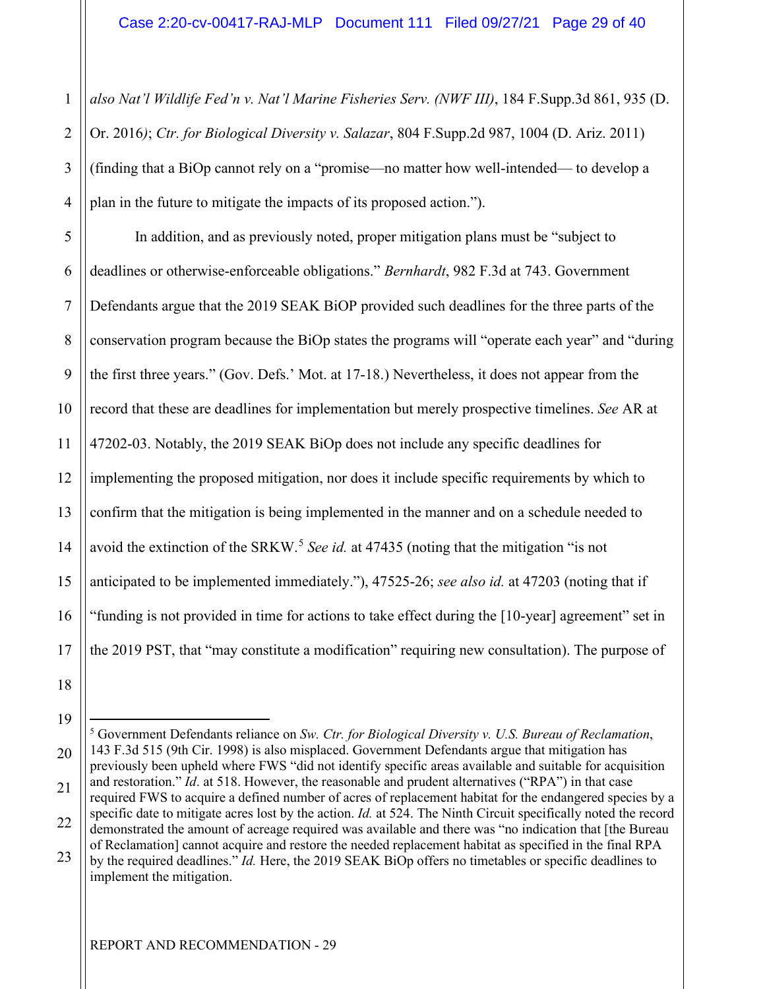1 2 3 4 *also Nat'l Wildlife Fed'n v. Nat'l Marine Fisheries Serv. (NWF III)*, 184 F.Supp.3d 861, 935 (D. Or. 2016*)*; *Ctr. for Biological Diversity v. Salazar*, 804 F.Supp.2d 987, 1004 (D. Ariz. 2011) (finding that a BiOp cannot rely on a "promise—no matter how well-intended— to develop a plan in the future to mitigate the impacts of its proposed action.").

5 6 7 8 9 10 11 12 13 14 15 16 17 In addition, and as previously noted, proper mitigation plans must be "subject to deadlines or otherwise-enforceable obligations." *Bernhardt*, 982 F.3d at 743. Government Defendants argue that the 2019 SEAK BiOP provided such deadlines for the three parts of the conservation program because the BiOp states the programs will "operate each year" and "during the first three years." (Gov. Defs.' Mot. at 17-18.) Nevertheless, it does not appear from the record that these are deadlines for implementation but merely prospective timelines. *See* AR at 47202-03. Notably, the 2019 SEAK BiOp does not include any specific deadlines for implementing the proposed mitigation, nor does it include specific requirements by which to confirm that the mitigation is being implemented in the manner and on a schedule needed to avoid the extinction of the SRKW.<sup>[5](#page-28-0)</sup> See id. at 47435 (noting that the mitigation "is not anticipated to be implemented immediately."), 47525-26; *see also id.* at 47203 (noting that if "funding is not provided in time for actions to take effect during the [10-year] agreement" set in the 2019 PST, that "may constitute a modification" requiring new consultation). The purpose of

19

18

20

22 23 specific date to mitigate acres lost by the action. *Id.* at 524. The Ninth Circuit specifically noted the record demonstrated the amount of acreage required was available and there was "no indication that [the Bureau of Reclamation] cannot acquire and restore the needed replacement habitat as specified in the final RPA

by the required deadlines." *Id.* Here, the 2019 SEAK BiOp offers no timetables or specific deadlines to implement the mitigation.

<span id="page-28-0"></span><sup>21</sup>  5 Government Defendants reliance on *Sw. Ctr. for Biological Diversity v. U.S. Bureau of Reclamation*, 143 F.3d 515 (9th Cir. 1998) is also misplaced. Government Defendants argue that mitigation has previously been upheld where FWS "did not identify specific areas available and suitable for acquisition and restoration." *Id*. at 518. However, the reasonable and prudent alternatives ("RPA") in that case required FWS to acquire a defined number of acres of replacement habitat for the endangered species by a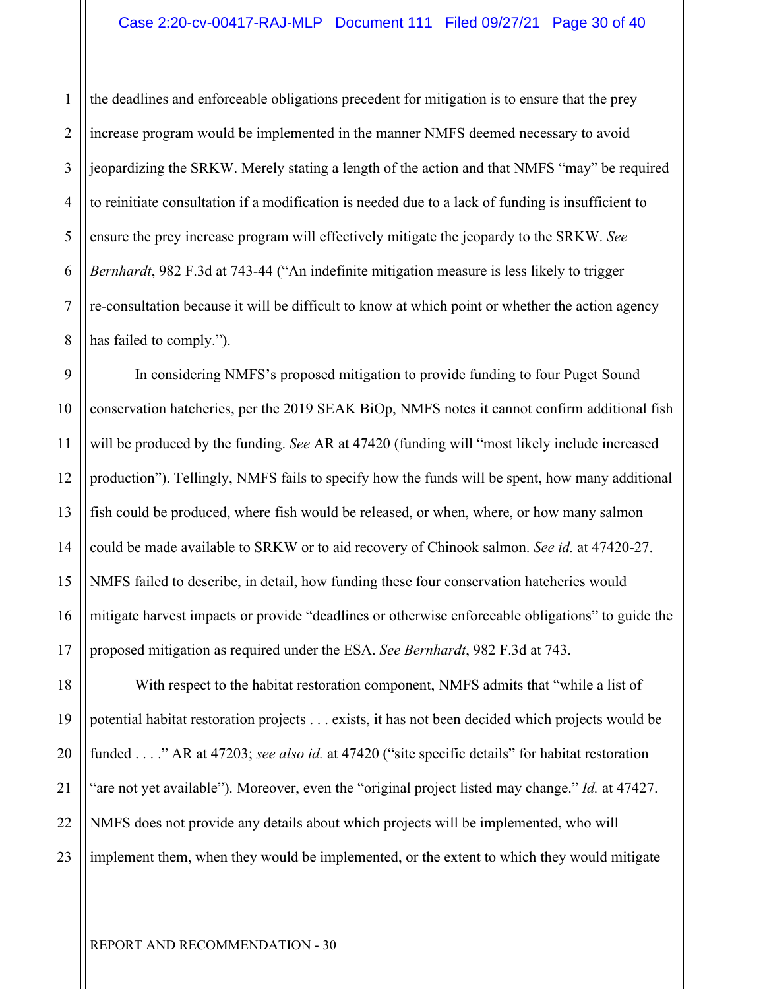1 2 3 4 5 6 7 8 the deadlines and enforceable obligations precedent for mitigation is to ensure that the prey increase program would be implemented in the manner NMFS deemed necessary to avoid jeopardizing the SRKW. Merely stating a length of the action and that NMFS "may" be required to reinitiate consultation if a modification is needed due to a lack of funding is insufficient to ensure the prey increase program will effectively mitigate the jeopardy to the SRKW. *See Bernhardt*, 982 F.3d at 743-44 ("An indefinite mitigation measure is less likely to trigger re-consultation because it will be difficult to know at which point or whether the action agency has failed to comply.").

9 10 11 12 13 14 15 16 17 In considering NMFS's proposed mitigation to provide funding to four Puget Sound conservation hatcheries, per the 2019 SEAK BiOp, NMFS notes it cannot confirm additional fish will be produced by the funding. *See* AR at 47420 (funding will "most likely include increased production"). Tellingly, NMFS fails to specify how the funds will be spent, how many additional fish could be produced, where fish would be released, or when, where, or how many salmon could be made available to SRKW or to aid recovery of Chinook salmon. *See id.* at 47420-27. NMFS failed to describe, in detail, how funding these four conservation hatcheries would mitigate harvest impacts or provide "deadlines or otherwise enforceable obligations" to guide the proposed mitigation as required under the ESA. *See Bernhardt*, 982 F.3d at 743.

18 19 20 21 22 23 With respect to the habitat restoration component, NMFS admits that "while a list of potential habitat restoration projects . . . exists, it has not been decided which projects would be funded . . . ." AR at 47203; *see also id.* at 47420 ("site specific details" for habitat restoration "are not yet available"). Moreover, even the "original project listed may change." *Id.* at 47427. NMFS does not provide any details about which projects will be implemented, who will implement them, when they would be implemented, or the extent to which they would mitigate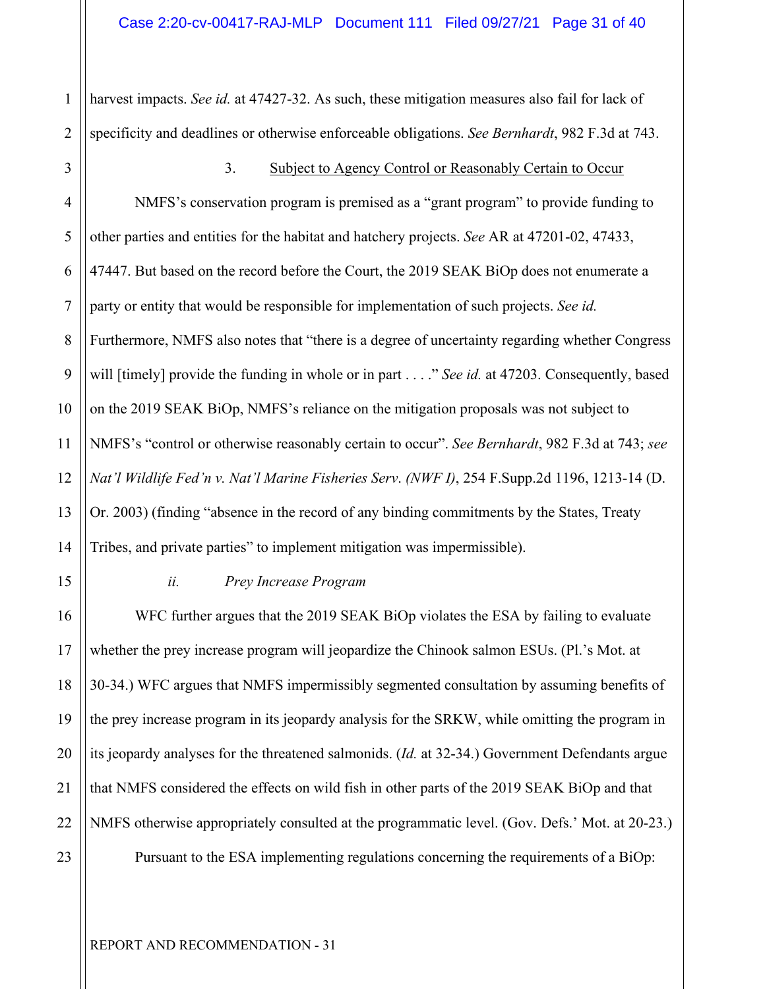1 2 harvest impacts. *See id.* at 47427-32. As such, these mitigation measures also fail for lack of specificity and deadlines or otherwise enforceable obligations. *See Bernhardt*, 982 F.3d at 743.

3

#### 3. Subject to Agency Control or Reasonably Certain to Occur

4 5 6 7 8 9 10 11 12 13 14 NMFS's conservation program is premised as a "grant program" to provide funding to other parties and entities for the habitat and hatchery projects. *See* AR at 47201-02, 47433, 47447. But based on the record before the Court, the 2019 SEAK BiOp does not enumerate a party or entity that would be responsible for implementation of such projects. *See id.* Furthermore, NMFS also notes that "there is a degree of uncertainty regarding whether Congress will [timely] provide the funding in whole or in part . . . ." *See id.* at 47203. Consequently, based on the 2019 SEAK BiOp, NMFS's reliance on the mitigation proposals was not subject to NMFS's "control or otherwise reasonably certain to occur". *See Bernhardt*, 982 F.3d at 743; *see Nat'l Wildlife Fed'n v. Nat'l Marine Fisheries Serv*. *(NWF I)*, 254 F.Supp.2d 1196, 1213-14 (D. Or. 2003) (finding "absence in the record of any binding commitments by the States, Treaty Tribes, and private parties" to implement mitigation was impermissible).

15

16

17

18

19

20

21

22

23

#### *ii. Prey Increase Program*

WFC further argues that the 2019 SEAK BiOp violates the ESA by failing to evaluate whether the prey increase program will jeopardize the Chinook salmon ESUs. (Pl.'s Mot. at 30-34.) WFC argues that NMFS impermissibly segmented consultation by assuming benefits of the prey increase program in its jeopardy analysis for the SRKW, while omitting the program in its jeopardy analyses for the threatened salmonids. (*Id.* at 32-34.) Government Defendants argue that NMFS considered the effects on wild fish in other parts of the 2019 SEAK BiOp and that NMFS otherwise appropriately consulted at the programmatic level. (Gov. Defs.' Mot. at 20-23.) Pursuant to the ESA implementing regulations concerning the requirements of a BiOp: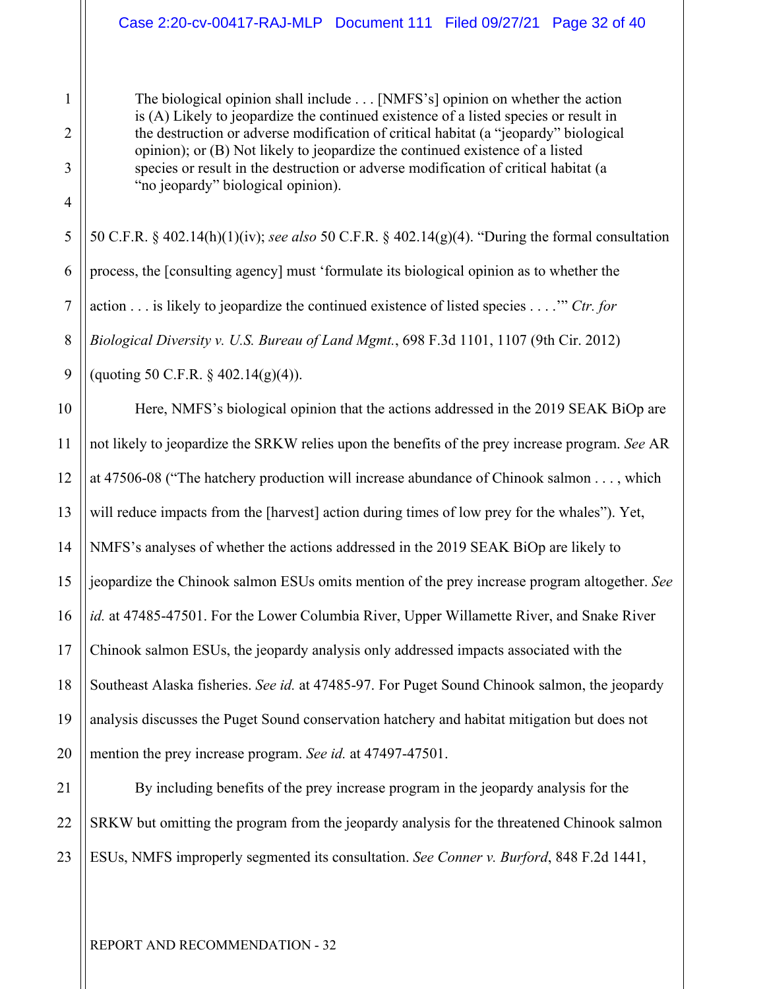#### Case 2:20-cv-00417-RAJ-MLP Document 111 Filed 09/27/21 Page 32 of 40

The biological opinion shall include . . . [NMFS's] opinion on whether the action is (A) Likely to jeopardize the continued existence of a listed species or result in the destruction or adverse modification of critical habitat (a "jeopardy" biological opinion); or (B) Not likely to jeopardize the continued existence of a listed species or result in the destruction or adverse modification of critical habitat (a "no jeopardy" biological opinion).

50 C.F.R. § 402.14(h)(1)(iv); *see also* 50 C.F.R. § 402.14(g)(4). "During the formal consultation process, the [consulting agency] must 'formulate its biological opinion as to whether the action . . . is likely to jeopardize the continued existence of listed species . . . .'" *Ctr. for Biological Diversity v. U.S. Bureau of Land Mgmt.*, 698 F.3d 1101, 1107 (9th Cir. 2012) (quoting 50 C.F.R.  $\S$  402.14(g)(4)).

Here, NMFS's biological opinion that the actions addressed in the 2019 SEAK BiOp are not likely to jeopardize the SRKW relies upon the benefits of the prey increase program. *See* AR at 47506-08 ("The hatchery production will increase abundance of Chinook salmon . . . , which will reduce impacts from the [harvest] action during times of low prey for the whales"). Yet, NMFS's analyses of whether the actions addressed in the 2019 SEAK BiOp are likely to jeopardize the Chinook salmon ESUs omits mention of the prey increase program altogether. *See id.* at 47485-47501. For the Lower Columbia River, Upper Willamette River, and Snake River Chinook salmon ESUs, the jeopardy analysis only addressed impacts associated with the Southeast Alaska fisheries. *See id.* at 47485-97. For Puget Sound Chinook salmon, the jeopardy analysis discusses the Puget Sound conservation hatchery and habitat mitigation but does not mention the prey increase program. *See id.* at 47497-47501.

23 By including benefits of the prey increase program in the jeopardy analysis for the SRKW but omitting the program from the jeopardy analysis for the threatened Chinook salmon ESUs, NMFS improperly segmented its consultation. *See Conner v. Burford*, 848 F.2d 1441,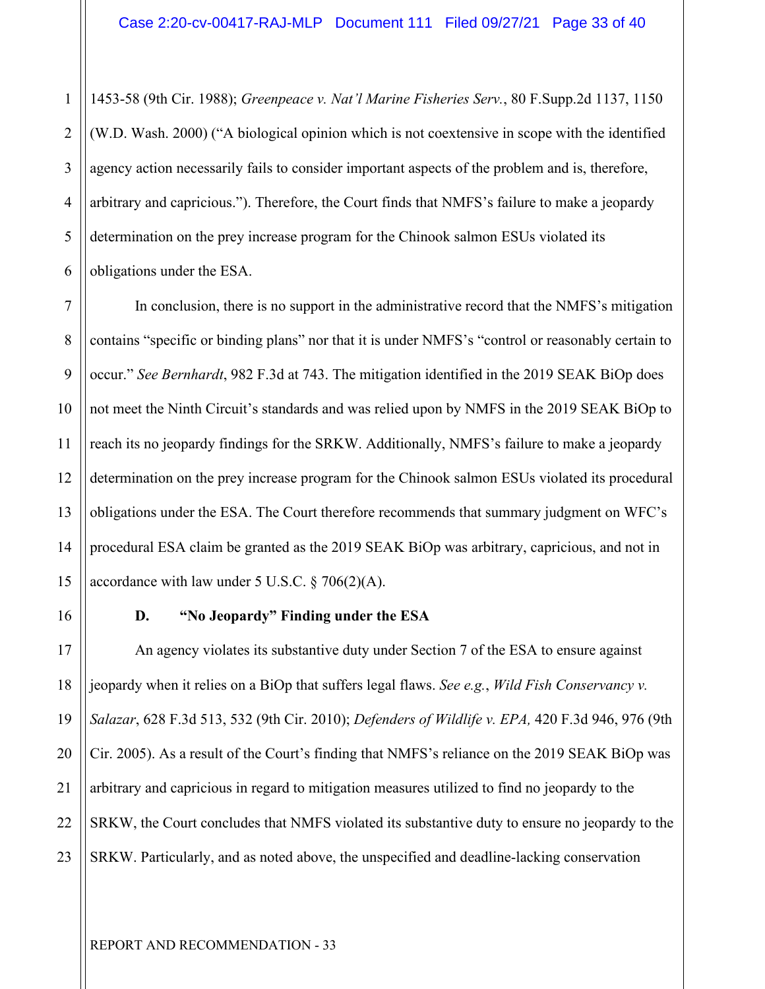1 2 3 4 5 6 1453-58 (9th Cir. 1988); *Greenpeace v. Nat'l Marine Fisheries Serv.*, 80 F.Supp.2d 1137, 1150 (W.D. Wash. 2000) ("A biological opinion which is not coextensive in scope with the identified agency action necessarily fails to consider important aspects of the problem and is, therefore, arbitrary and capricious."). Therefore, the Court finds that NMFS's failure to make a jeopardy determination on the prey increase program for the Chinook salmon ESUs violated its obligations under the ESA.

In conclusion, there is no support in the administrative record that the NMFS's mitigation contains "specific or binding plans" nor that it is under NMFS's "control or reasonably certain to occur." *See Bernhardt*, 982 F.3d at 743. The mitigation identified in the 2019 SEAK BiOp does not meet the Ninth Circuit's standards and was relied upon by NMFS in the 2019 SEAK BiOp to reach its no jeopardy findings for the SRKW. Additionally, NMFS's failure to make a jeopardy determination on the prey increase program for the Chinook salmon ESUs violated its procedural obligations under the ESA. The Court therefore recommends that summary judgment on WFC's procedural ESA claim be granted as the 2019 SEAK BiOp was arbitrary, capricious, and not in accordance with law under 5 U.S.C.  $\S$  706(2)(A).

#### **D. "No Jeopardy" Finding under the ESA**

An agency violates its substantive duty under Section 7 of the ESA to ensure against jeopardy when it relies on a BiOp that suffers legal flaws. *See e.g.*, *Wild Fish Conservancy v. Salazar*, 628 F.3d 513, 532 (9th Cir. 2010); *Defenders of Wildlife v. EPA,* 420 F.3d 946, 976 (9th Cir. 2005). As a result of the Court's finding that NMFS's reliance on the 2019 SEAK BiOp was arbitrary and capricious in regard to mitigation measures utilized to find no jeopardy to the SRKW, the Court concludes that NMFS violated its substantive duty to ensure no jeopardy to the SRKW. Particularly, and as noted above, the unspecified and deadline-lacking conservation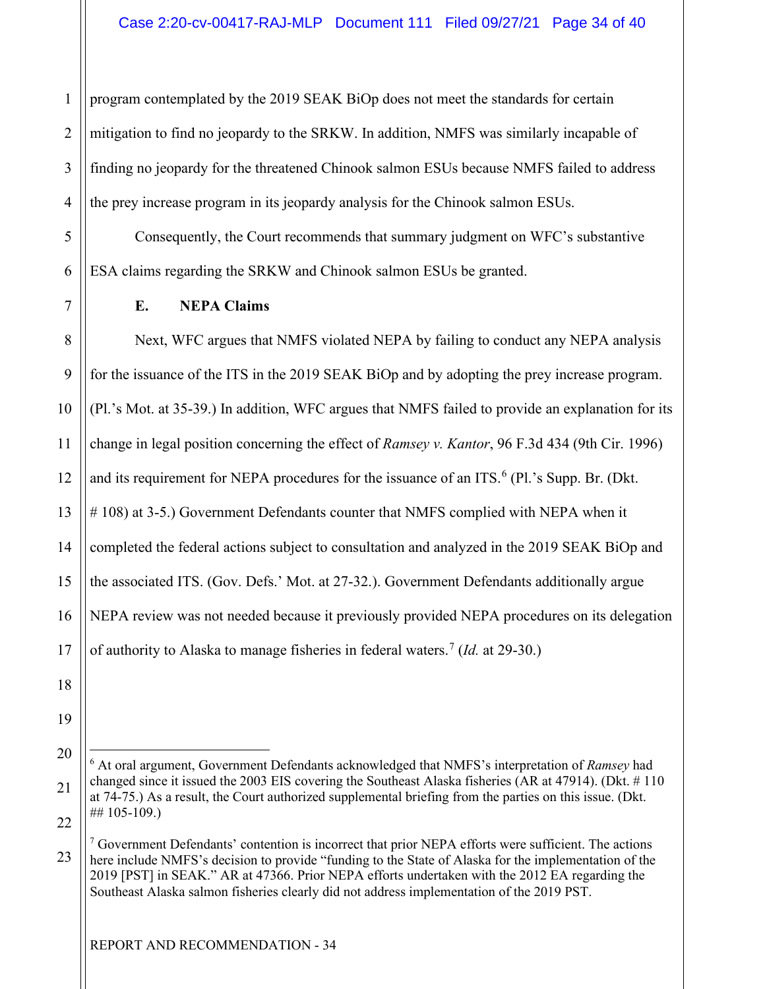1 2 3 4 program contemplated by the 2019 SEAK BiOp does not meet the standards for certain mitigation to find no jeopardy to the SRKW. In addition, NMFS was similarly incapable of finding no jeopardy for the threatened Chinook salmon ESUs because NMFS failed to address the prey increase program in its jeopardy analysis for the Chinook salmon ESUs.

5 6 Consequently, the Court recommends that summary judgment on WFC's substantive ESA claims regarding the SRKW and Chinook salmon ESUs be granted.

7 8 9

11

#### **E. NEPA Claims**

10 12 13 14 15 16 17 Next, WFC argues that NMFS violated NEPA by failing to conduct any NEPA analysis for the issuance of the ITS in the 2019 SEAK BiOp and by adopting the prey increase program. (Pl.'s Mot. at 35-39.) In addition, WFC argues that NMFS failed to provide an explanation for its change in legal position concerning the effect of *Ramsey v. Kantor*, 96 F.3d 434 (9th Cir. 1996) and its requirement for NEPA procedures for the issuance of an ITS. $<sup>6</sup>$  $<sup>6</sup>$  $<sup>6</sup>$  (Pl.'s Supp. Br. (Dkt.</sup> # 108) at 3-5.) Government Defendants counter that NMFS complied with NEPA when it completed the federal actions subject to consultation and analyzed in the 2019 SEAK BiOp and the associated ITS. (Gov. Defs.' Mot. at 27-32.). Government Defendants additionally argue NEPA review was not needed because it previously provided NEPA procedures on its delegation of authority to Alaska to manage fisheries in federal waters.<sup>[7](#page-33-1)</sup> (*Id.* at 29-30.)

19

18

<span id="page-33-0"></span><sup>21</sup>  22 6 At oral argument, Government Defendants acknowledged that NMFS's interpretation of *Ramsey* had changed since it issued the 2003 EIS covering the Southeast Alaska fisheries (AR at 47914). (Dkt. # 110 at 74-75.) As a result, the Court authorized supplemental briefing from the parties on this issue. (Dkt. ## 105-109.)

<span id="page-33-1"></span><sup>23</sup>  <sup>7</sup> Government Defendants' contention is incorrect that prior NEPA efforts were sufficient. The actions here include NMFS's decision to provide "funding to the State of Alaska for the implementation of the 2019 [PST] in SEAK." AR at 47366. Prior NEPA efforts undertaken with the 2012 EA regarding the Southeast Alaska salmon fisheries clearly did not address implementation of the 2019 PST.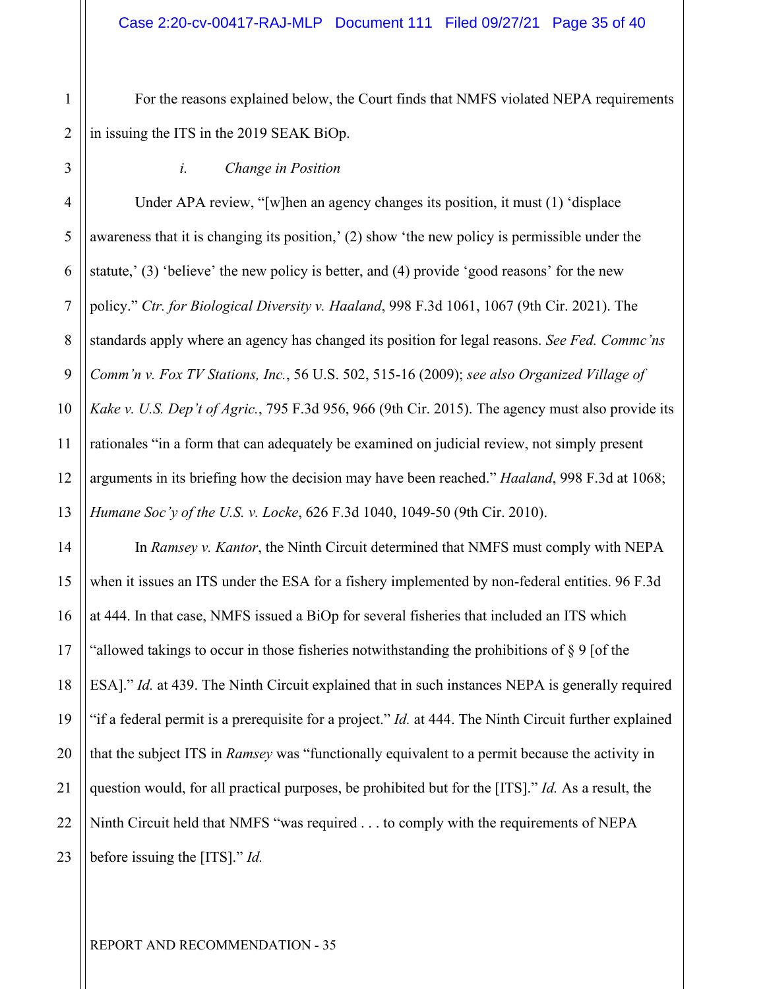2 For the reasons explained below, the Court finds that NMFS violated NEPA requirements in issuing the ITS in the 2019 SEAK BiOp.

#### *i. Change in Position*

Under APA review, "[w]hen an agency changes its position, it must (1) 'displace awareness that it is changing its position,' (2) show 'the new policy is permissible under the statute,' (3) 'believe' the new policy is better, and (4) provide 'good reasons' for the new policy." *Ctr. for Biological Diversity v. Haaland*, 998 F.3d 1061, 1067 (9th Cir. 2021). The standards apply where an agency has changed its position for legal reasons. *See Fed. Commc'ns Comm'n v. Fox TV Stations, Inc.*, 56 U.S. 502, 515-16 (2009); *see also Organized Village of Kake v. U.S. Dep't of Agric.*, 795 F.3d 956, 966 (9th Cir. 2015). The agency must also provide its rationales "in a form that can adequately be examined on judicial review, not simply present arguments in its briefing how the decision may have been reached." *Haaland*, 998 F.3d at 1068; *Humane Soc'y of the U.S. v. Locke*, 626 F.3d 1040, 1049-50 (9th Cir. 2010).

In *Ramsey v. Kantor*, the Ninth Circuit determined that NMFS must comply with NEPA when it issues an ITS under the ESA for a fishery implemented by non-federal entities. 96 F.3d at 444. In that case, NMFS issued a BiOp for several fisheries that included an ITS which "allowed takings to occur in those fisheries notwithstanding the prohibitions of  $\S 9$  [of the ESA]." *Id.* at 439. The Ninth Circuit explained that in such instances NEPA is generally required "if a federal permit is a prerequisite for a project." *Id.* at 444. The Ninth Circuit further explained that the subject ITS in *Ramsey* was "functionally equivalent to a permit because the activity in question would, for all practical purposes, be prohibited but for the [ITS]." *Id.* As a result, the Ninth Circuit held that NMFS "was required . . . to comply with the requirements of NEPA before issuing the [ITS]." *Id.*

20

21

22

23

1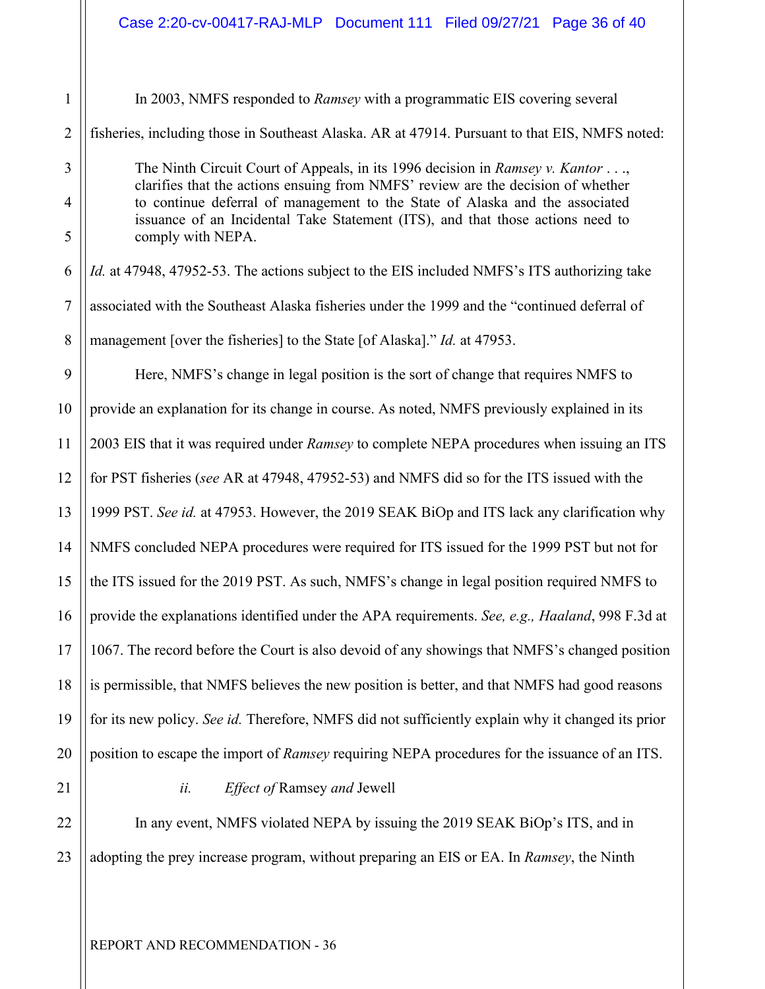| $\mathbf 1$     |      |
|-----------------|------|
| $\overline{2}$  | fis. |
| 3               |      |
| $\overline{4}$  |      |
| 5               |      |
| 6               | Id.  |
| $\overline{7}$  | ass  |
| 8               | ma   |
| 9               |      |
| 10              | pro  |
| 11              | 20   |
| 12              | for  |
| 13              | 19   |
| 14              | N    |
| 15              | the  |
| 16              | pro  |
| 17              | 10   |
| 18              | is 1 |
| 19              | for  |
| 20              | po   |
| $\overline{21}$ |      |
| $\overline{22}$ |      |

23

In 2003, NMFS responded to *Ramsey* with a programmatic EIS covering several

heries, including those in Southeast Alaska. AR at 47914. Pursuant to that EIS, NMFS noted:

The Ninth Circuit Court of Appeals, in its 1996 decision in *Ramsey v. Kantor* . . ., clarifies that the actions ensuing from NMFS' review are the decision of whether to continue deferral of management to the State of Alaska and the associated issuance of an Incidental Take Statement (ITS), and that those actions need to comply with NEPA.

*Id.* at 47948, 47952-53. The actions subject to the EIS included NMFS's ITS authorizing take sociated with the Southeast Alaska fisheries under the 1999 and the "continued deferral of anagement [over the fisheries] to the State [of Alaska]." *Id.* at 47953.

Here, NMFS's change in legal position is the sort of change that requires NMFS to provide an explanation for its change in course. As noted, NMFS previously explained in its 2003 EIS that it was required under *Ramsey* to complete NEPA procedures when issuing an ITS for PST fisheries (*see* AR at 47948, 47952-53) and NMFS did so for the ITS issued with the 1999 PST. *See id.* at 47953. However, the 2019 SEAK BiOp and ITS lack any clarification why NMFS concluded NEPA procedures were required for ITS issued for the 1999 PST but not for the ITS issued for the 2019 PST. As such, NMFS's change in legal position required NMFS to provide the explanations identified under the APA requirements. *See, e.g., Haaland*, 998 F.3d at 67. The record before the Court is also devoid of any showings that NMFS's changed position is permissible, that NMFS believes the new position is better, and that NMFS had good reasons for its new policy. *See id.* Therefore, NMFS did not sufficiently explain why it changed its prior sition to escape the import of *Ramsey* requiring NEPA procedures for the issuance of an ITS.

*ii. Effect of* Ramsey *and* Jewell

In any event, NMFS violated NEPA by issuing the 2019 SEAK BiOp's ITS, and in adopting the prey increase program, without preparing an EIS or EA. In *Ramsey*, the Ninth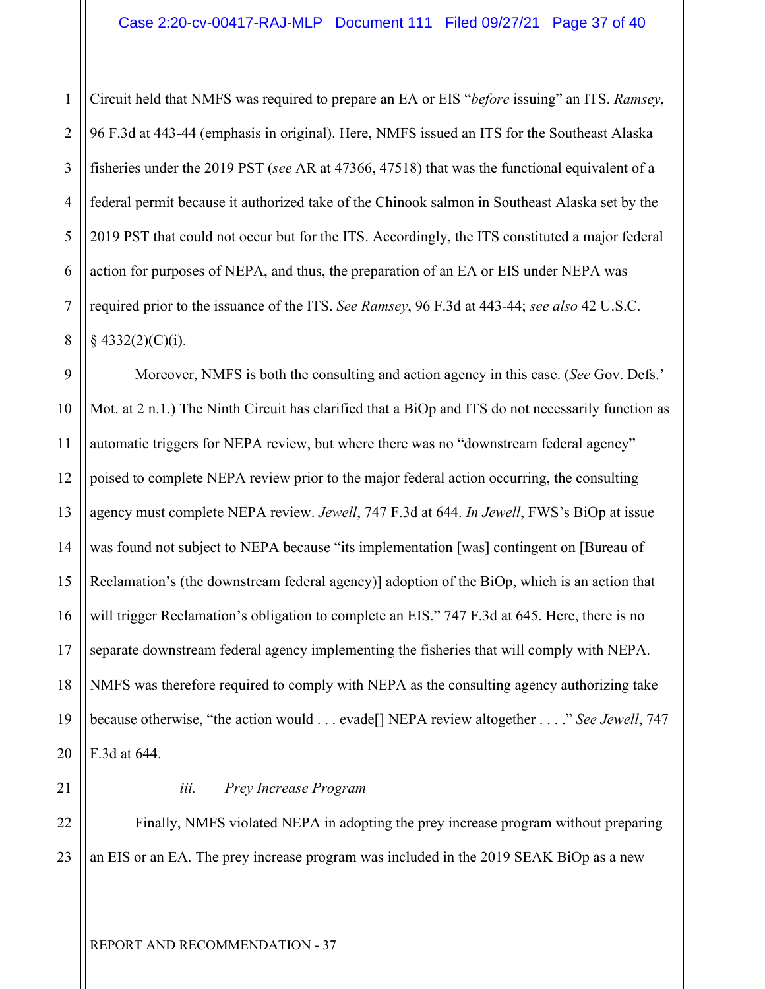1 2 3 4 5 6 7 8 Circuit held that NMFS was required to prepare an EA or EIS "*before* issuing" an ITS. *Ramsey*, 96 F.3d at 443-44 (emphasis in original). Here, NMFS issued an ITS for the Southeast Alaska fisheries under the 2019 PST (*see* AR at 47366, 47518) that was the functional equivalent of a federal permit because it authorized take of the Chinook salmon in Southeast Alaska set by the 2019 PST that could not occur but for the ITS. Accordingly, the ITS constituted a major federal action for purposes of NEPA, and thus, the preparation of an EA or EIS under NEPA was required prior to the issuance of the ITS. *See Ramsey*, 96 F.3d at 443-44; *see also* 42 U.S.C.  $§$  4332(2)(C)(i).

9 10 11 12 13 14 15 16 17 18 19 20 Moreover, NMFS is both the consulting and action agency in this case. (*See* Gov. Defs.' Mot. at 2 n.1.) The Ninth Circuit has clarified that a BiOp and ITS do not necessarily function as automatic triggers for NEPA review, but where there was no "downstream federal agency" poised to complete NEPA review prior to the major federal action occurring, the consulting agency must complete NEPA review. *Jewell*, 747 F.3d at 644. *In Jewell*, FWS's BiOp at issue was found not subject to NEPA because "its implementation [was] contingent on [Bureau of Reclamation's (the downstream federal agency)] adoption of the BiOp, which is an action that will trigger Reclamation's obligation to complete an EIS." 747 F.3d at 645. Here, there is no separate downstream federal agency implementing the fisheries that will comply with NEPA. NMFS was therefore required to comply with NEPA as the consulting agency authorizing take because otherwise, "the action would . . . evade[] NEPA review altogether . . . ." *See Jewell*, 747 F.3d at 644.

21

#### *iii. Prey Increase Program*

22 23 Finally, NMFS violated NEPA in adopting the prey increase program without preparing an EIS or an EA. The prey increase program was included in the 2019 SEAK BiOp as a new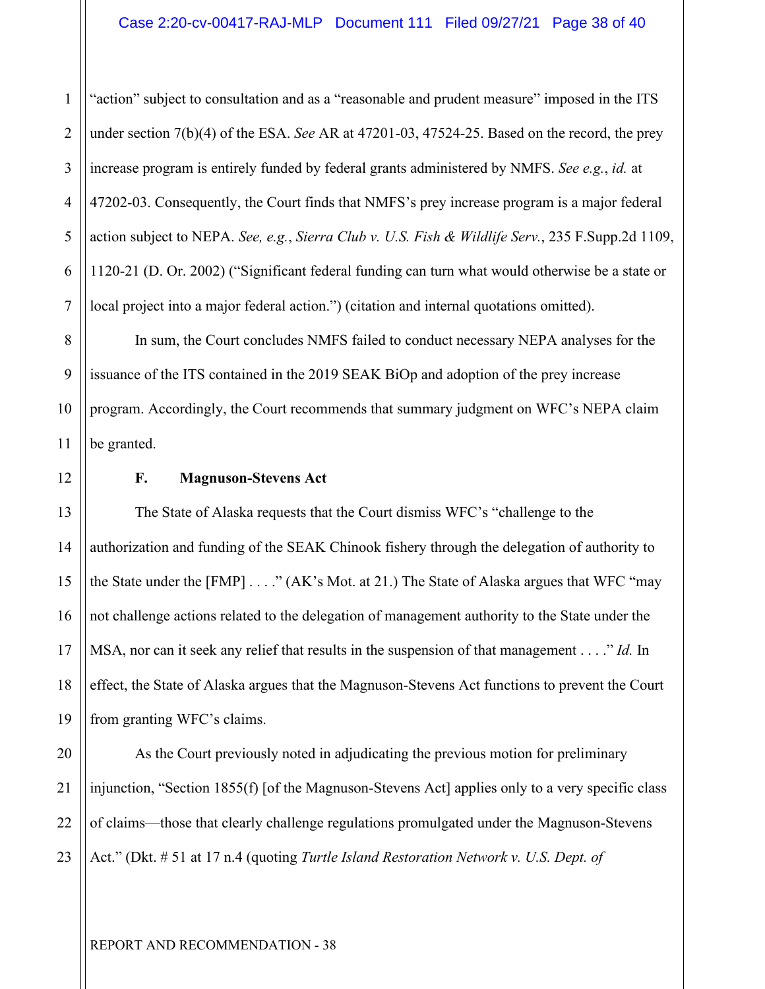1 2 3 4 5 6 7 "action" subject to consultation and as a "reasonable and prudent measure" imposed in the ITS under section 7(b)(4) of the ESA. *See* AR at 47201-03, 47524-25. Based on the record, the prey increase program is entirely funded by federal grants administered by NMFS. *See e.g.*, *id.* at 47202-03. Consequently, the Court finds that NMFS's prey increase program is a major federal action subject to NEPA. *See, e.g.*, *Sierra Club v. U.S. Fish & Wildlife Serv.*, 235 F.Supp.2d 1109, 1120-21 (D. Or. 2002) ("Significant federal funding can turn what would otherwise be a state or local project into a major federal action.") (citation and internal quotations omitted).

8 9 10 11 In sum, the Court concludes NMFS failed to conduct necessary NEPA analyses for the issuance of the ITS contained in the 2019 SEAK BiOp and adoption of the prey increase program. Accordingly, the Court recommends that summary judgment on WFC's NEPA claim be granted.

12

13

14

15

16

17

18

19

#### **F. Magnuson-Stevens Act**

The State of Alaska requests that the Court dismiss WFC's "challenge to the authorization and funding of the SEAK Chinook fishery through the delegation of authority to the State under the  $[FMP] \ldots$  " (AK's Mot. at 21.) The State of Alaska argues that WFC "may not challenge actions related to the delegation of management authority to the State under the MSA, nor can it seek any relief that results in the suspension of that management . . . ." *Id.* In effect, the State of Alaska argues that the Magnuson-Stevens Act functions to prevent the Court from granting WFC's claims.

20 21 22 23 As the Court previously noted in adjudicating the previous motion for preliminary injunction, "Section 1855(f) [of the Magnuson-Stevens Act] applies only to a very specific class of claims—those that clearly challenge regulations promulgated under the Magnuson-Stevens Act." (Dkt. # 51 at 17 n.4 (quoting *Turtle Island Restoration Network v. U.S. Dept. of* 

REPORT AND RECOMMENDATION - 38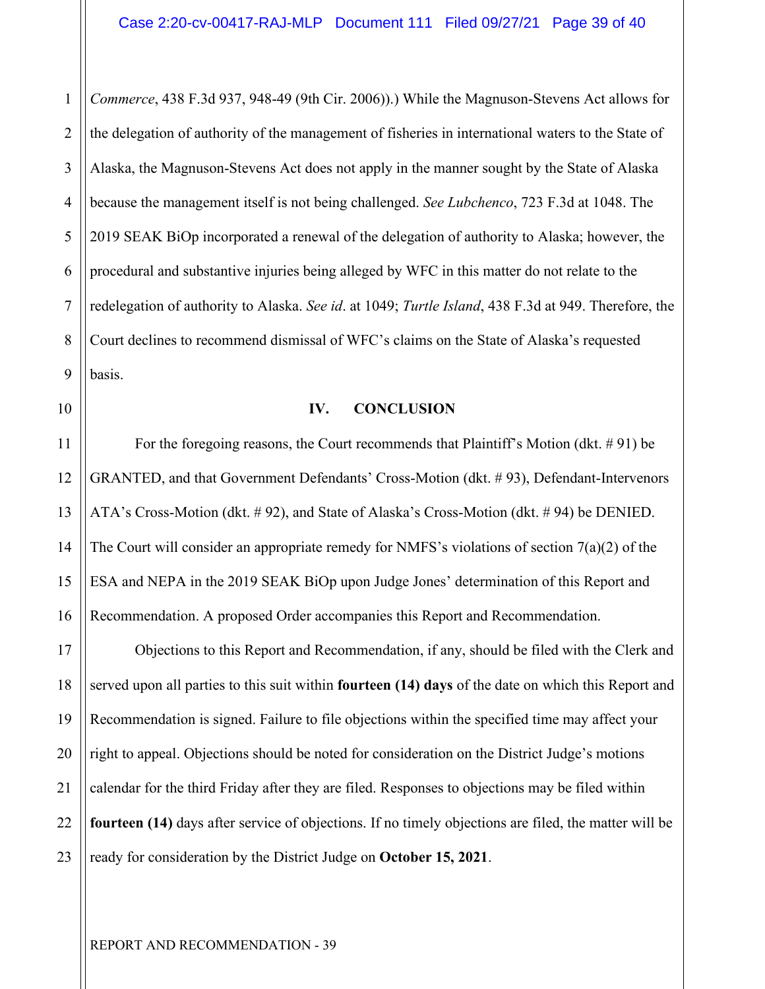1 2 3 4 5 6 7 8 9 *Commerce*, 438 F.3d 937, 948-49 (9th Cir. 2006)).) While the Magnuson-Stevens Act allows for the delegation of authority of the management of fisheries in international waters to the State of Alaska, the Magnuson-Stevens Act does not apply in the manner sought by the State of Alaska because the management itself is not being challenged. *See Lubchenco*, 723 F.3d at 1048. The 2019 SEAK BiOp incorporated a renewal of the delegation of authority to Alaska; however, the procedural and substantive injuries being alleged by WFC in this matter do not relate to the redelegation of authority to Alaska. *See id*. at 1049; *Turtle Island*, 438 F.3d at 949. Therefore, the Court declines to recommend dismissal of WFC's claims on the State of Alaska's requested basis.

10

11

12

13

14

15

16

#### **IV. CONCLUSION**

For the foregoing reasons, the Court recommends that Plaintiff's Motion (dkt.  $\# 91$ ) be GRANTED, and that Government Defendants' Cross-Motion (dkt. # 93), Defendant-Intervenors ATA's Cross-Motion (dkt. # 92), and State of Alaska's Cross-Motion (dkt. # 94) be DENIED. The Court will consider an appropriate remedy for NMFS's violations of section  $7(a)(2)$  of the ESA and NEPA in the 2019 SEAK BiOp upon Judge Jones' determination of this Report and Recommendation. A proposed Order accompanies this Report and Recommendation.

17 18 19 20 21 22 23 Objections to this Report and Recommendation, if any, should be filed with the Clerk and served upon all parties to this suit within **fourteen (14) days** of the date on which this Report and Recommendation is signed. Failure to file objections within the specified time may affect your right to appeal. Objections should be noted for consideration on the District Judge's motions calendar for the third Friday after they are filed. Responses to objections may be filed within **fourteen (14)** days after service of objections. If no timely objections are filed, the matter will be ready for consideration by the District Judge on **October 15, 2021**.